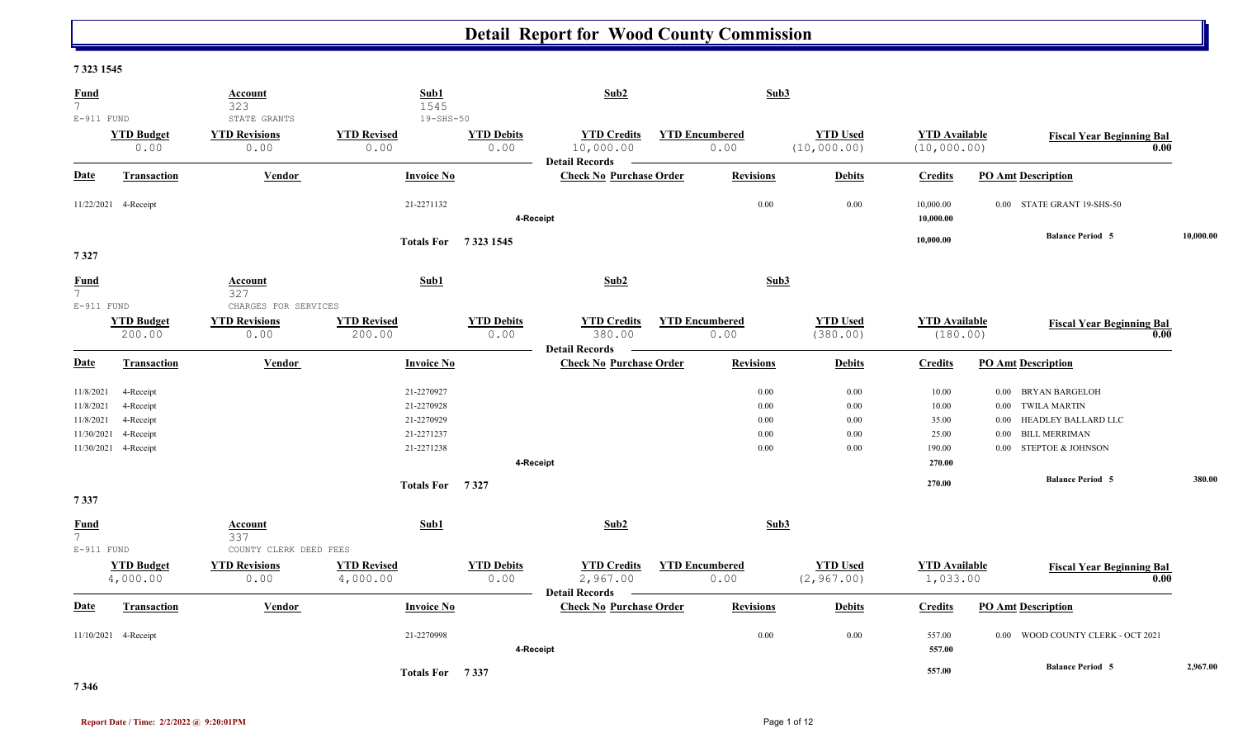#### **7 323 1545**

| <b>Fund</b><br>$7^{\circ}$<br>$E-911$ FUND        |                                                                          | <b>Account</b><br>323<br>STATE GRANTS                | Sub1<br>1545<br>$19 - SHS - 50$                                    |                           | Sub2                                                     |                               | Sub3                                                                                     |                                                      |                                                                                                                                                                           |           |
|---------------------------------------------------|--------------------------------------------------------------------------|------------------------------------------------------|--------------------------------------------------------------------|---------------------------|----------------------------------------------------------|-------------------------------|------------------------------------------------------------------------------------------|------------------------------------------------------|---------------------------------------------------------------------------------------------------------------------------------------------------------------------------|-----------|
|                                                   | <b>YTD Budget</b><br>0.00                                                | <b>YTD Revisions</b><br>0.00                         | <b>YTD Revised</b><br>0.00                                         | <b>YTD Debits</b><br>0.00 | <b>YTD Credits</b><br>10,000.00<br><b>Detail Records</b> | <b>YTD Encumbered</b><br>0.00 | <b>YTD Used</b><br>(10,000.00)                                                           | <b>YTD</b> Available<br>(10,000.00)                  | <b>Fiscal Year Beginning Bal</b>                                                                                                                                          | 0.00      |
| Date                                              | <b>Transaction</b>                                                       | Vendor                                               | <b>Invoice No</b>                                                  |                           | <b>Check No Purchase Order</b>                           | <b>Revisions</b>              | <b>Debits</b>                                                                            | <b>Credits</b>                                       | <b>PO Amt Description</b>                                                                                                                                                 |           |
|                                                   | 11/22/2021 4-Receipt                                                     |                                                      | 21-2271132                                                         | 4-Receipt                 |                                                          |                               | 0.00<br>0.00                                                                             | 10,000.00<br>10,000.00                               | 0.00 STATE GRANT 19-SHS-50                                                                                                                                                |           |
| 7327                                              |                                                                          |                                                      | Totals For 7323 1545                                               |                           |                                                          |                               |                                                                                          | 10,000.00                                            | <b>Balance Period 5</b>                                                                                                                                                   | 10,000.00 |
| <u>Fund</u><br>7 <sup>7</sup>                     |                                                                          | Account<br>327                                       | Sub1                                                               |                           | Sub2                                                     |                               | Sub3                                                                                     |                                                      |                                                                                                                                                                           |           |
| $E-911$ FUND                                      | <b>YTD Budget</b><br>200.00                                              | CHARGES FOR SERVICES<br><b>YTD Revisions</b><br>0.00 | <b>YTD Revised</b><br>200.00                                       | <b>YTD Debits</b><br>0.00 | <b>YTD Credits</b><br>380.00<br><b>Detail Records</b>    | <b>YTD Encumbered</b><br>0.00 | <b>YTD Used</b><br>(380.00)                                                              | <b>YTD</b> Available<br>(180.00)                     | <b>Fiscal Year Beginning Bal</b>                                                                                                                                          | 0.00      |
| Date                                              | <b>Transaction</b>                                                       | Vendor                                               | <b>Invoice No</b>                                                  |                           | <b>Check No Purchase Order</b>                           | <b>Revisions</b>              | <b>Debits</b>                                                                            | <b>Credits</b>                                       | <b>PO Amt Description</b>                                                                                                                                                 |           |
| 11/8/2021<br>11/8/2021<br>11/8/2021<br>11/30/2021 | 4-Receipt<br>4-Receipt<br>4-Receipt<br>4-Receipt<br>11/30/2021 4-Receipt |                                                      | 21-2270927<br>21-2270928<br>21-2270929<br>21-2271237<br>21-2271238 | 4-Receipt                 |                                                          |                               | $0.00\,$<br>0.00<br>$0.00\,$<br>0.00<br>$0.00\,$<br>0.00<br>0.00<br>0.00<br>0.00<br>0.00 | 10.00<br>10.00<br>35.00<br>25.00<br>190.00<br>270.00 | <b>BRYAN BARGELOH</b><br>$0.00\,$<br>0.00 TWILA MARTIN<br>HEADLEY BALLARD LLC<br>$0.00\,$<br><b>BILL MERRIMAN</b><br>$0.00\,$<br><b>STEPTOE &amp; JOHNSON</b><br>$0.00\,$ |           |
| 7337                                              |                                                                          |                                                      | Totals For 7327                                                    |                           |                                                          |                               |                                                                                          | 270.00                                               | <b>Balance Period 5</b>                                                                                                                                                   | 380.00    |
| <b>Fund</b><br>$7\overline{ }$<br>$E-911$ FUND    |                                                                          | Account<br>337<br>COUNTY CLERK DEED FEES             | Sub1                                                               |                           | Sub2                                                     |                               | Sub3                                                                                     |                                                      |                                                                                                                                                                           |           |
|                                                   | <b>YTD Budget</b><br>4,000.00                                            | <b>YTD Revisions</b><br>0.00                         | <b>YTD Revised</b><br>4,000.00                                     | <b>YTD Debits</b><br>0.00 | <b>YTD Credits</b><br>2,967.00<br><b>Detail Records</b>  | <b>YTD Encumbered</b><br>0.00 | <b>YTD Used</b><br>(2, 967.00)                                                           | <b>YTD Available</b><br>1,033.00                     | <b>Fiscal Year Beginning Bal</b>                                                                                                                                          | 0.00      |
| Date                                              | <b>Transaction</b>                                                       | <b>Vendor</b>                                        | <b>Invoice No</b>                                                  |                           | <b>Check No Purchase Order</b>                           | <b>Revisions</b>              | <b>Debits</b>                                                                            | <b>Credits</b>                                       | <b>PO Amt Description</b>                                                                                                                                                 |           |
|                                                   | 11/10/2021 4-Receipt                                                     |                                                      | 21-2270998                                                         | 4-Receipt                 |                                                          |                               | 0.00<br>0.00                                                                             | 557.00<br>557.00                                     | 0.00 WOOD COUNTY CLERK - OCT 2021                                                                                                                                         |           |
|                                                   |                                                                          |                                                      | Totals For 7337                                                    |                           |                                                          |                               |                                                                                          | 557.00                                               | <b>Balance Period 5</b>                                                                                                                                                   | 2,967.00  |

**7 346**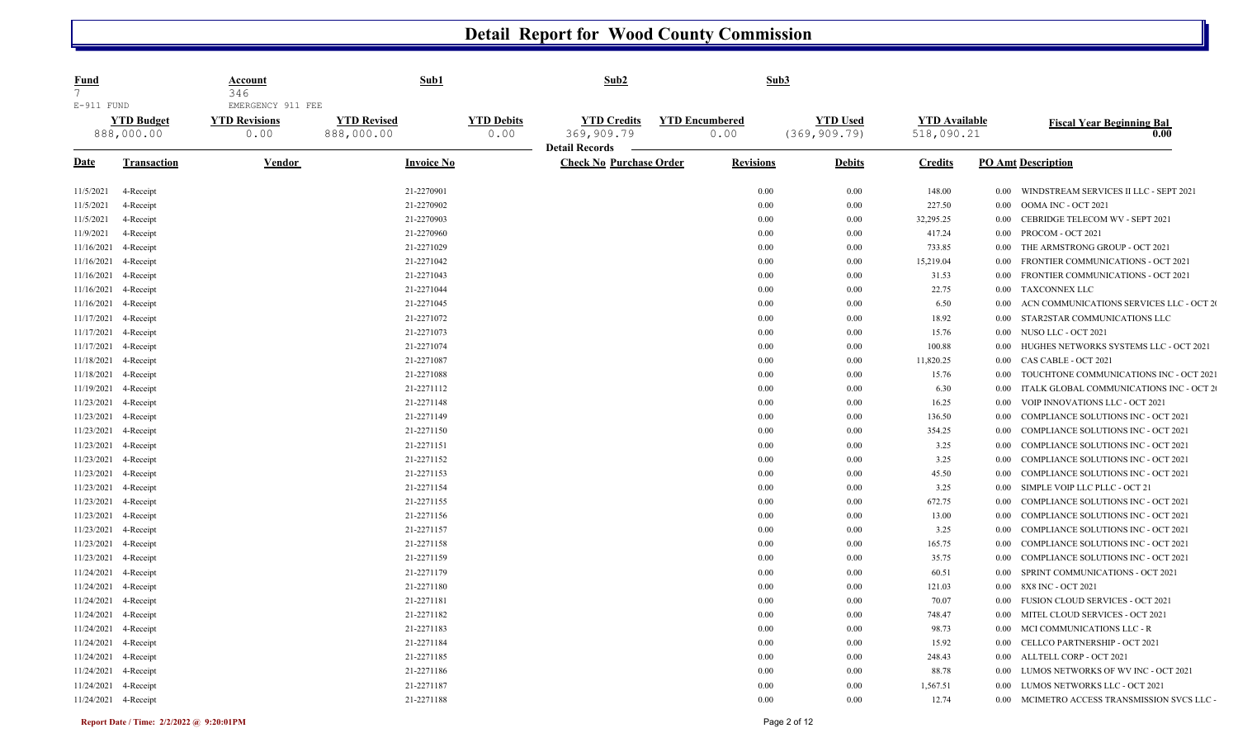| <u>Fund</u><br>$7\overline{ }$ |                                 | Account<br>346                                    | Sub1                             |                           | Sub2                                                    | Sub3                          |                                  |                                    |          |                                            |
|--------------------------------|---------------------------------|---------------------------------------------------|----------------------------------|---------------------------|---------------------------------------------------------|-------------------------------|----------------------------------|------------------------------------|----------|--------------------------------------------|
| $E-911$ FUND                   | <b>YTD Budget</b><br>888,000.00 | EMERGENCY 911 FEE<br><b>YTD Revisions</b><br>0.00 | <b>YTD Revised</b><br>888,000.00 | <b>YTD Debits</b><br>0.00 | <b>YTD Credits</b><br>369,909.79                        | <b>YTD Encumbered</b><br>0.00 | <b>YTD Used</b><br>(369, 909.79) | <b>YTD Available</b><br>518,090.21 |          | <b>Fiscal Year Beginning Bal</b><br>0.00   |
| <b>Date</b>                    | <b>Transaction</b>              | <b>Vendor</b>                                     | <b>Invoice No</b>                |                           | <b>Detail Records</b><br><b>Check No Purchase Order</b> | <b>Revisions</b>              | <b>Debits</b>                    | <b>Credits</b>                     |          | <b>PO Amt Description</b>                  |
| 11/5/2021                      | 4-Receipt                       |                                                   | 21-2270901                       |                           |                                                         | 0.00                          | 0.00                             | 148.00                             | $0.00\,$ | WINDSTREAM SERVICES II LLC - SEPT 2021     |
| 11/5/2021                      | 4-Receipt                       |                                                   | 21-2270902                       |                           |                                                         | 0.00                          | 0.00                             | 227.50                             | 0.00     | OOMA INC - OCT 2021                        |
| 11/5/2021                      | 4-Receipt                       |                                                   | 21-2270903                       |                           |                                                         | 0.00                          | 0.00                             | 32,295.25                          | 0.00     | CEBRIDGE TELECOM WV - SEPT 2021            |
| 11/9/2021                      | 4-Receipt                       |                                                   | 21-2270960                       |                           |                                                         | 0.00                          | 0.00                             | 417.24                             | 0.00     | PROCOM - OCT 2021                          |
| 11/16/2021                     | 4-Receipt                       |                                                   | 21-2271029                       |                           |                                                         | 0.00                          | 0.00                             | 733.85                             | 0.00     | THE ARMSTRONG GROUP - OCT 2021             |
| 11/16/2021                     | 4-Receipt                       |                                                   | 21-2271042                       |                           |                                                         | 0.00                          | 0.00                             | 15,219.04                          | 0.00     | FRONTIER COMMUNICATIONS - OCT 2021         |
| 11/16/2021                     | 4-Receipt                       |                                                   | 21-2271043                       |                           |                                                         | 0.00                          | 0.00                             | 31.53                              | 0.00     | FRONTIER COMMUNICATIONS - OCT 2021         |
| 11/16/2021                     | 4-Receipt                       |                                                   | 21-2271044                       |                           |                                                         | 0.00                          | 0.00                             | 22.75                              | 0.00     | <b>TAXCONNEX LLC</b>                       |
| 11/16/2021                     | 4-Receipt                       |                                                   | 21-2271045                       |                           |                                                         | 0.00                          | 0.00                             | 6.50                               | 0.00     | ACN COMMUNICATIONS SERVICES LLC - OCT 20   |
| 11/17/2021                     | 4-Receipt                       |                                                   | 21-2271072                       |                           |                                                         | 0.00                          | 0.00                             | 18.92                              | 0.00     | STAR2STAR COMMUNICATIONS LLC               |
| 11/17/2021                     | 4-Receipt                       |                                                   | 21-2271073                       |                           |                                                         | 0.00                          | 0.00                             | 15.76                              | 0.00     | NUSO LLC - OCT 2021                        |
| 11/17/2021                     | 4-Receipt                       |                                                   | 21-2271074                       |                           |                                                         | 0.00                          | 0.00                             | 100.88                             | 0.00     | HUGHES NETWORKS SYSTEMS LLC - OCT 2021     |
| 11/18/2021                     | 4-Receipt                       |                                                   | 21-2271087                       |                           |                                                         | 0.00                          | 0.00                             | 11,820.25                          | 0.00     | CAS CABLE - OCT 2021                       |
| 11/18/2021                     | 4-Receipt                       |                                                   | 21-2271088                       |                           |                                                         | 0.00                          | 0.00                             | 15.76                              | 0.00     | TOUCHTONE COMMUNICATIONS INC - OCT 2021    |
| 11/19/2021                     | 4-Receipt                       |                                                   | 21-2271112                       |                           |                                                         | 0.00                          | 0.00                             | 6.30                               | 0.00     | ITALK GLOBAL COMMUNICATIONS INC - OCT 2    |
| 11/23/2021                     | 4-Receipt                       |                                                   | 21-2271148                       |                           |                                                         | 0.00                          | 0.00                             | 16.25                              | 0.00     | VOIP INNOVATIONS LLC - OCT 2021            |
| 11/23/2021                     | 4-Receipt                       |                                                   | 21-2271149                       |                           |                                                         | 0.00                          | 0.00                             | 136.50                             | 0.00     | COMPLIANCE SOLUTIONS INC - OCT 2021        |
| 11/23/2021                     | 4-Receipt                       |                                                   | 21-2271150                       |                           |                                                         | 0.00                          | 0.00                             | 354.25                             | 0.00     | <b>COMPLIANCE SOLUTIONS INC - OCT 2021</b> |
| 11/23/2021                     | 4-Receipt                       |                                                   | 21-2271151                       |                           |                                                         | 0.00                          | 0.00                             | 3.25                               | 0.00     | <b>COMPLIANCE SOLUTIONS INC - OCT 2021</b> |
| 11/23/2021                     | 4-Receipt                       |                                                   | 21-2271152                       |                           |                                                         | 0.00                          | 0.00                             | 3.25                               | 0.00     | <b>COMPLIANCE SOLUTIONS INC - OCT 2021</b> |
| 11/23/2021                     | 4-Receipt                       |                                                   | 21-2271153                       |                           |                                                         | 0.00                          | 0.00                             | 45.50                              | 0.00     | <b>COMPLIANCE SOLUTIONS INC - OCT 2021</b> |
| 11/23/2021                     | 4-Receipt                       |                                                   | 21-2271154                       |                           |                                                         | 0.00                          | 0.00                             | 3.25                               | 0.00     | SIMPLE VOIP LLC PLLC - OCT 21              |
| 11/23/2021                     | 4-Receipt                       |                                                   | 21-2271155                       |                           |                                                         | 0.00                          | 0.00                             | 672.75                             | 0.00     | <b>COMPLIANCE SOLUTIONS INC - OCT 2021</b> |
| 11/23/2021                     | 4-Receipt                       |                                                   | 21-2271156                       |                           |                                                         | 0.00                          | 0.00                             | 13.00                              | 0.00     | <b>COMPLIANCE SOLUTIONS INC - OCT 2021</b> |
| 11/23/2021                     | 4-Receipt                       |                                                   | 21-2271157                       |                           |                                                         | 0.00                          | 0.00                             | 3.25                               | 0.00     | <b>COMPLIANCE SOLUTIONS INC - OCT 2021</b> |
| 11/23/2021                     | 4-Receipt                       |                                                   | 21-2271158                       |                           |                                                         | 0.00                          | 0.00                             | 165.75                             | 0.00     | <b>COMPLIANCE SOLUTIONS INC - OCT 2021</b> |
| 11/23/2021                     | 4-Receipt                       |                                                   | 21-2271159                       |                           |                                                         | 0.00                          | 0.00                             | 35.75                              | 0.00     | <b>COMPLIANCE SOLUTIONS INC - OCT 2021</b> |
| 11/24/2021                     | 4-Receipt                       |                                                   | 21-2271179                       |                           |                                                         | 0.00                          | 0.00                             | 60.51                              | 0.00     | SPRINT COMMUNICATIONS - OCT 2021           |
| 11/24/2021                     | 4-Receipt                       |                                                   | 21-2271180                       |                           |                                                         | 0.00                          | 0.00                             | 121.03                             | 0.00     | 8X8 INC - OCT 2021                         |
| 11/24/2021                     | 4-Receipt                       |                                                   | 21-2271181                       |                           |                                                         | 0.00                          | $0.00\,$                         | 70.07                              | 0.00     | FUSION CLOUD SERVICES - OCT 2021           |
| 11/24/2021                     | 4-Receipt                       |                                                   | 21-2271182                       |                           |                                                         | 0.00                          | 0.00                             | 748.47                             | 0.00     | MITEL CLOUD SERVICES - OCT 2021            |
| 11/24/2021                     | 4-Receipt                       |                                                   | 21-2271183                       |                           |                                                         | 0.00                          | 0.00                             | 98.73                              | 0.00     | MCI COMMUNICATIONS LLC - R                 |
| 11/24/2021                     | 4-Receipt                       |                                                   | 21-2271184                       |                           |                                                         | 0.00                          | 0.00                             | 15.92                              | 0.00     | CELLCO PARTNERSHIP - OCT 2021              |
| 11/24/2021                     | 4-Receipt                       |                                                   | 21-2271185                       |                           |                                                         | 0.00                          | 0.00                             | 248.43                             | 0.00     | ALLTELL CORP - OCT 2021                    |
| 11/24/2021                     | 4-Receipt                       |                                                   | 21-2271186                       |                           |                                                         | 0.00                          | 0.00                             | 88.78                              | 0.00     | LUMOS NETWORKS OF WV INC - OCT 2021        |
| 11/24/2021                     | 4-Receipt                       |                                                   | 21-2271187                       |                           |                                                         | 0.00                          | 0.00                             | 1,567.51                           | 0.00     | LUMOS NETWORKS LLC - OCT 2021              |
| 11/24/2021 4-Receipt           |                                 |                                                   | 21-2271188                       |                           |                                                         | 0.00                          | 0.00                             | 12.74                              | 0.00     | MCIMETRO ACCESS TRANSMISSION SVCS LLC -    |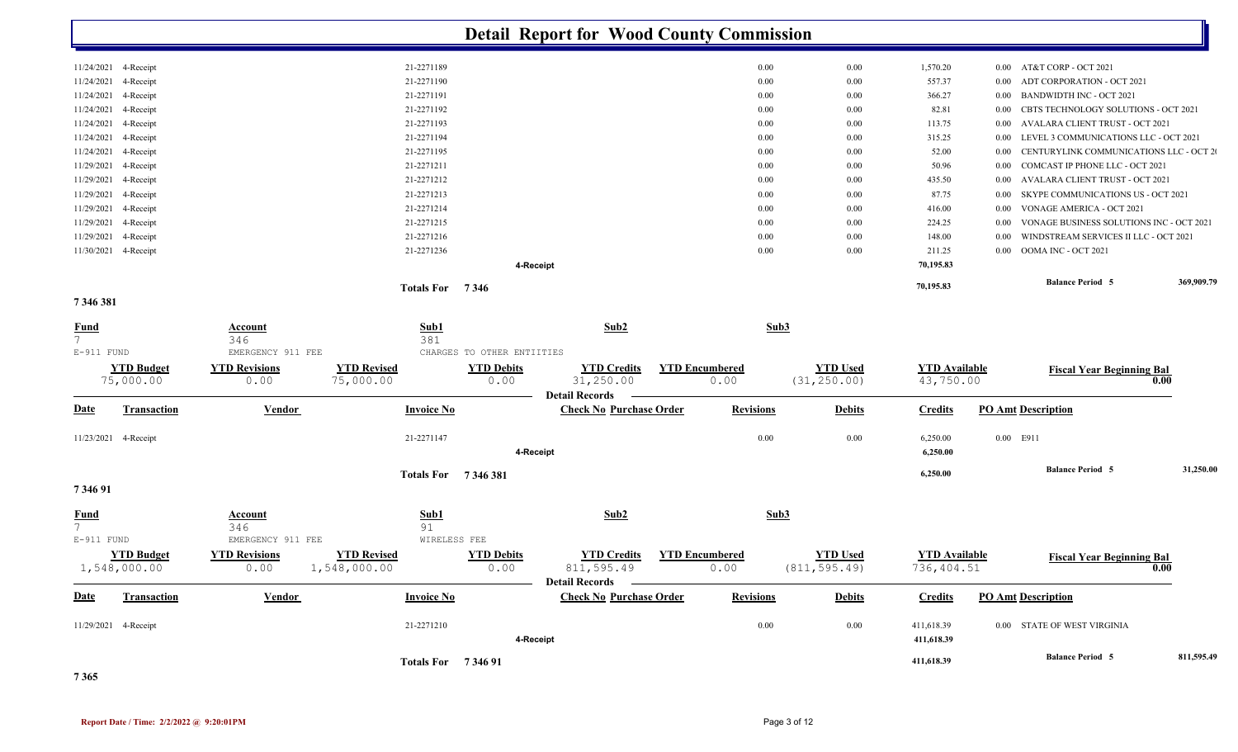|                                          |                                   |                                     |                                                         |                            | <b>Detail Report for Wood County Commission</b>      |                       |                  |                                  |                                    |          |                                          |      |            |
|------------------------------------------|-----------------------------------|-------------------------------------|---------------------------------------------------------|----------------------------|------------------------------------------------------|-----------------------|------------------|----------------------------------|------------------------------------|----------|------------------------------------------|------|------------|
|                                          | 11/24/2021 4-Receipt              |                                     | 21-2271189                                              |                            |                                                      |                       | 0.00             | $0.00\,$                         | 1,570.20                           |          | 0.00 AT&T CORP - OCT 2021                |      |            |
| 11/24/2021                               | 4-Receipt                         |                                     | 21-2271190                                              |                            |                                                      |                       | $0.00\,$         | 0.00                             | 557.37                             | $0.00\,$ | ADT CORPORATION - OCT 2021               |      |            |
| 11/24/2021                               | 4-Receipt                         |                                     | 21-2271191                                              |                            |                                                      |                       | $0.00\,$         | 0.00                             | 366.27                             | $0.00\,$ | <b>BANDWIDTH INC - OCT 2021</b>          |      |            |
| 11/24/2021                               | 4-Receipt                         |                                     | 21-2271192                                              |                            |                                                      |                       | 0.00             | 0.00                             | 82.81                              | 0.00     | CBTS TECHNOLOGY SOLUTIONS - OCT 2021     |      |            |
| 11/24/2021                               | 4-Receipt                         |                                     | 21-2271193                                              |                            |                                                      |                       | $0.00\,$         | 0.00                             | 113.75                             | 0.00     | AVALARA CLIENT TRUST - OCT 2021          |      |            |
| 11/24/2021                               | 4-Receipt                         |                                     | 21-2271194                                              |                            |                                                      |                       | $0.00\,$         | 0.00                             | 315.25                             | $0.00\,$ | LEVEL 3 COMMUNICATIONS LLC - OCT 2021    |      |            |
| 11/24/2021                               | 4-Receipt                         |                                     | 21-2271195                                              |                            |                                                      |                       | 0.00             | 0.00                             | 52.00                              | $0.00\,$ | CENTURYLINK COMMUNICATIONS LLC - OCT 2   |      |            |
| 11/29/2021                               | 4-Receipt                         |                                     | 21-2271211                                              |                            |                                                      |                       | $0.00\,$         | 0.00                             | 50.96                              | $0.00\,$ | COMCAST IP PHONE LLC - OCT 2021          |      |            |
| 11/29/2021                               | 4-Receipt                         |                                     | 21-2271212                                              |                            |                                                      |                       | $0.00\,$         | 0.00                             | 435.50                             | $0.00\,$ | AVALARA CLIENT TRUST - OCT 2021          |      |            |
| 11/29/2021                               | 4-Receipt                         |                                     | 21-2271213                                              |                            |                                                      |                       | $0.00\,$         | 0.00                             | 87.75                              | $0.00\,$ | SKYPE COMMUNICATIONS US - OCT 2021       |      |            |
| 11/29/2021                               | 4-Receipt                         |                                     | 21-2271214                                              |                            |                                                      |                       | $0.00\,$         | 0.00                             | 416.00                             | $0.00\,$ | VONAGE AMERICA - OCT 2021                |      |            |
| 11/29/2021                               | 4-Receipt                         |                                     | 21-2271215                                              |                            |                                                      |                       | $0.00\,$         | 0.00                             | 224.25                             | $0.00\,$ | VONAGE BUSINESS SOLUTIONS INC - OCT 2021 |      |            |
| 11/29/2021                               | 4-Receipt                         |                                     | 21-2271216                                              |                            |                                                      |                       | 0.00             | 0.00                             | 148.00                             | $0.00\,$ | WINDSTREAM SERVICES II LLC - OCT 2021    |      |            |
|                                          | 11/30/2021 4-Receipt              |                                     | 21-2271236                                              |                            |                                                      |                       | $0.00\,$         | 0.00                             | 211.25                             | $0.00\,$ | OOMA INC - OCT 2021                      |      |            |
|                                          |                                   |                                     |                                                         | 4-Receipt                  |                                                      |                       |                  |                                  | 70,195.83<br>70,195.83             |          | <b>Balance Period 5</b>                  |      | 369,909.79 |
| 7346381                                  |                                   |                                     | Totals For 7346                                         |                            |                                                      |                       |                  |                                  |                                    |          |                                          |      |            |
| <b>Fund</b><br>$7^{\circ}$               |                                   | <u>Account</u><br>346               | Sub1<br>381                                             |                            | Sub2                                                 |                       | Sub3             |                                  |                                    |          |                                          |      |            |
| E-911 FUND                               |                                   | EMERGENCY 911 FEE                   |                                                         | CHARGES TO OTHER ENTIITIES |                                                      |                       |                  |                                  |                                    |          |                                          |      |            |
|                                          | <b>YTD Budget</b>                 | <b>YTD Revisions</b>                | <b>YTD Revised</b>                                      | <b>YTD Debits</b>          | <b>YTD Credits</b>                                   | <b>YTD Encumbered</b> |                  | <b>YTD Used</b>                  | <b>YTD</b> Available               |          | <b>Fiscal Year Beginning Bal</b>         |      |            |
|                                          | 75,000.00                         | 0.00                                | 75,000.00                                               | 0.00                       | 31,250.00<br><b>Detail Records</b>                   |                       | 0.00             | (31, 250.00)                     | 43,750.00                          |          |                                          | 0.00 |            |
| <b>Date</b>                              | <b>Transaction</b>                | <b>Vendor</b>                       | <b>Invoice No</b>                                       |                            | <b>Check No Purchase Order</b>                       |                       | <b>Revisions</b> | <b>Debits</b>                    | <b>Credits</b>                     |          | <b>PO Amt Description</b>                |      |            |
|                                          | 11/23/2021 4-Receipt              |                                     | 21-2271147                                              |                            |                                                      |                       | 0.00             | 0.00                             | 6,250.00                           |          | 0.00 E911                                |      |            |
|                                          |                                   |                                     |                                                         | 4-Receipt                  |                                                      |                       |                  |                                  | 6,250.00                           |          |                                          |      |            |
|                                          |                                   |                                     | <b>Totals For</b> 7346381                               |                            |                                                      |                       |                  |                                  | 6,250.00                           |          | <b>Balance Period 5</b>                  |      | 31,250.00  |
| 7 3 4 6 9 1                              |                                   |                                     |                                                         |                            |                                                      |                       |                  |                                  |                                    |          |                                          |      |            |
| <u>Fund</u><br>$7^{\circ}$<br>E-911 FUND |                                   | Account<br>346<br>EMERGENCY 911 FEE | $\frac{\text{Sub1}}{\text{Sub2}}$<br>91<br>WIRELESS FEE |                            | Sub2                                                 |                       | Sub3             |                                  |                                    |          |                                          |      |            |
|                                          | <b>YTD Budget</b><br>1,548,000.00 | <b>YTD Revisions</b><br>0.00        | <b>YTD Revised</b><br>1,548,000.00                      | <b>YTD Debits</b><br>0.00  | <b>YTD Credits</b><br>811,595.49<br>Detail Records – | <b>YTD Encumbered</b> | 0.00             | <b>YTD Used</b><br>(811, 595.49) | <b>YTD</b> Available<br>736,404.51 |          | <b>Fiscal Year Beginning Bal</b>         | 0.00 |            |
| <u>Date</u>                              | <b>Transaction</b>                | <b>Vendor</b>                       | <b>Invoice No</b>                                       |                            | <b>Check No Purchase Order</b>                       |                       | <b>Revisions</b> | <b>Debits</b>                    | <b>Credits</b>                     |          | <b>PO Amt Description</b>                |      |            |
|                                          | 11/29/2021 4-Receipt              |                                     | 21-2271210                                              | 4-Receipt                  |                                                      |                       | 0.00             | $0.00\,$                         | 411,618.39<br>411,618.39           |          | 0.00 STATE OF WEST VIRGINIA              |      |            |
|                                          |                                   |                                     | <b>Totals For</b> 734691                                |                            |                                                      |                       |                  |                                  | 411,618.39                         |          | <b>Balance Period 5</b>                  |      | 811,595.49 |

**7 365**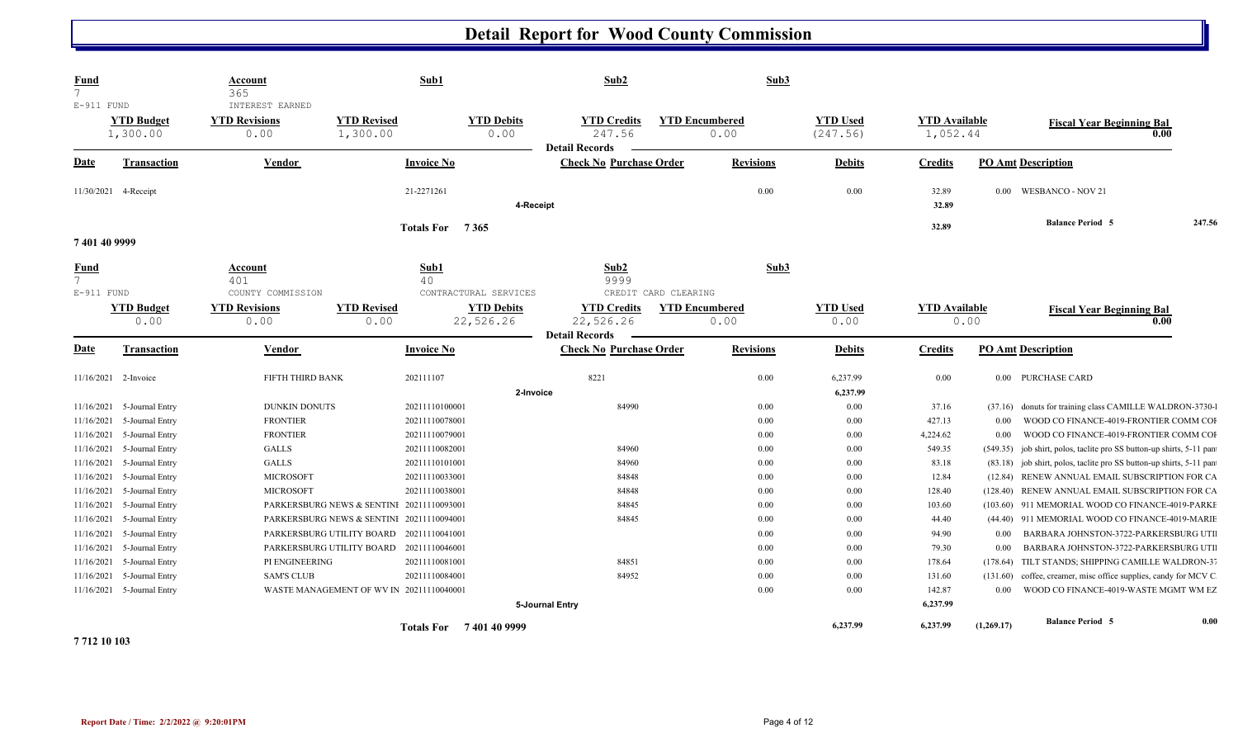| <b>Fund</b><br>$\overline{7}$<br>$E-911$ FUND  |                                    | Account<br>365<br>INTEREST EARNED   |                                           | Sub1                                | Sub2                                                     |                       | Sub3             |                             |                                  |                     |                                                                                  |        |
|------------------------------------------------|------------------------------------|-------------------------------------|-------------------------------------------|-------------------------------------|----------------------------------------------------------|-----------------------|------------------|-----------------------------|----------------------------------|---------------------|----------------------------------------------------------------------------------|--------|
|                                                | <b>YTD Budget</b><br>1,300.00      | <b>YTD Revisions</b><br>0.00        | <b>YTD Revised</b><br>1,300.00            | <b>YTD Debits</b><br>0.00           | <b>YTD Credits</b><br>247.56<br><b>Detail Records</b>    | <b>YTD Encumbered</b> | 0.00             | <b>YTD Used</b><br>(247.56) | <b>YTD Available</b><br>1,052.44 |                     | <b>Fiscal Year Beginning Bal</b>                                                 | 0.00   |
| <b>Date</b>                                    | <b>Transaction</b>                 | <b>Vendor</b>                       |                                           | <b>Invoice No</b>                   | <b>Check No Purchase Order</b>                           |                       | <b>Revisions</b> | <b>Debits</b>               | <b>Credits</b>                   |                     | <b>PO Amt Description</b>                                                        |        |
| 11/30/2021                                     | 4-Receipt                          |                                     |                                           | 21-2271261<br>4-Receipt             |                                                          |                       | 0.00             | 0.00                        | 32.89<br>32.89                   | $0.00\,$            | <b>WESBANCO - NOV 21</b>                                                         |        |
|                                                |                                    |                                     |                                           | Totals For 7365                     |                                                          |                       |                  |                             | 32.89                            |                     | <b>Balance Period 5</b>                                                          | 247.56 |
| 7401409999                                     |                                    |                                     |                                           |                                     |                                                          |                       |                  |                             |                                  |                     |                                                                                  |        |
| <b>Fund</b><br>$7\overline{ }$<br>$E-911$ FUND |                                    | Account<br>401<br>COUNTY COMMISSION |                                           | Sub1<br>40<br>CONTRACTURAL SERVICES | Sub <sub>2</sub><br>9999                                 | CREDIT CARD CLEARING  | Sub3             |                             |                                  |                     |                                                                                  |        |
|                                                | <b>YTD Budget</b><br>0.00          | <b>YTD Revisions</b><br>0.00        | <b>YTD Revised</b><br>0.00                | <b>YTD Debits</b><br>22,526.26      | <b>YTD Credits</b><br>22,526.26<br><b>Detail Records</b> | <b>YTD Encumbered</b> | 0.00             | <b>YTD Used</b><br>0.00     | <b>YTD</b> Available             | 0.00                | <b>Fiscal Year Beginning Bal</b>                                                 | 0.00   |
| <b>Date</b>                                    | <b>Transaction</b>                 | Vendor                              |                                           | <b>Invoice No</b>                   | <b>Check No Purchase Order</b>                           |                       | <b>Revisions</b> | <b>Debits</b>               | <b>Credits</b>                   |                     | <b>PO Amt Description</b>                                                        |        |
| 11/16/2021                                     | 2-Invoice                          | FIFTH THIRD BANK                    |                                           | 202111107                           | 8221                                                     |                       | $0.00\,$         | 6,237.99                    | 0.00                             |                     | 0.00 PURCHASE CARD                                                               |        |
|                                                |                                    |                                     |                                           | 2-Invoice                           |                                                          |                       |                  | 6,237.99                    |                                  |                     |                                                                                  |        |
| 11/16/2021                                     | 5-Journal Entry                    | <b>DUNKIN DONUTS</b>                |                                           | 20211110100001                      | 84990                                                    |                       | $0.00\,$         | 0.00                        | 37.16                            | (37.16)             | donuts for training class CAMILLE WALDRON-3730-                                  |        |
| 11/16/2021                                     | 5-Journal Entry                    | <b>FRONTIER</b>                     |                                           | 20211110078001                      |                                                          |                       | 0.00             | 0.00                        | 427.13                           | 0.00                | WOOD CO FINANCE-4019-FRONTIER COMM COI                                           |        |
| 11/16/2021                                     | 5-Journal Entry                    | <b>FRONTIER</b>                     |                                           | 20211110079001                      |                                                          |                       | 0.00             | 0.00                        | 4,224.62                         | $0.00\,$            | WOOD CO FINANCE-4019-FRONTIER COMM COI                                           |        |
| 11/16/2021                                     | 5-Journal Entry                    | <b>GALLS</b>                        |                                           | 20211110082001                      | 84960                                                    |                       | 0.00             | 0.00                        | 549.35                           | (549.35)            | job shirt, polos, taclite pro SS button-up shirts, 5-11 pan                      |        |
| 11/16/2021                                     | 5-Journal Entry                    | GALLS<br><b>MICROSOFT</b>           |                                           | 20211110101001                      | 84960<br>84848                                           |                       | 0.00<br>0.00     | 0.00<br>0.00                | 83.18                            | (83.18)             | job shirt, polos, taclite pro SS button-up shirts, 5-11 pan                      |        |
| 11/16/2021<br>11/16/2021                       | 5-Journal Entry<br>5-Journal Entry | <b>MICROSOFT</b>                    |                                           | 20211110033001<br>20211110038001    | 84848                                                    |                       | 0.00             | 0.00                        | 12.84<br>128.40                  | (12.84)<br>(128.40) | RENEW ANNUAL EMAIL SUBSCRIPTION FOR CA<br>RENEW ANNUAL EMAIL SUBSCRIPTION FOR CA |        |
| 11/16/2021                                     | 5-Journal Entry                    |                                     | PARKERSBURG NEWS & SENTINI 20211110093001 |                                     | 84845                                                    |                       | 0.00             | 0.00                        | 103.60                           | (103.60)            | 911 MEMORIAL WOOD CO FINANCE-4019-PARKE                                          |        |
| 11/16/2021                                     | 5-Journal Entry                    |                                     | PARKERSBURG NEWS & SENTINI 20211110094001 |                                     | 84845                                                    |                       | 0.00             | 0.00                        | 44.40                            |                     | (44.40) 911 MEMORIAL WOOD CO FINANCE-4019-MARIE                                  |        |
| 11/16/2021                                     | 5-Journal Entry                    |                                     | PARKERSBURG UTILITY BOARD 20211110041001  |                                     |                                                          |                       | 0.00             | 0.00                        | 94.90                            | 0.00                | BARBARA JOHNSTON-3722-PARKERSBURG UTI                                            |        |
| 11/16/2021                                     | 5-Journal Entry                    |                                     | PARKERSBURG UTILITY BOARD                 | 20211110046001                      |                                                          |                       | 0.00             | 0.00                        | 79.30                            | 0.00                | BARBARA JOHNSTON-3722-PARKERSBURG UTI                                            |        |
| 11/16/2021                                     | 5-Journal Entry                    | PI ENGINEERING                      |                                           | 20211110081001                      | 84851                                                    |                       | 0.00             | 0.00                        | 178.64                           | (178.64)            | TILT STANDS; SHIPPING CAMILLE WALDRON-37                                         |        |
| 11/16/2021                                     | 5-Journal Entry                    | <b>SAM'S CLUB</b>                   |                                           | 20211110084001                      | 84952                                                    |                       | 0.00             | 0.00                        | 131.60                           | (131.60)            | coffee, creamer, misc office supplies, candy for MCV C                           |        |
|                                                | 11/16/2021 5-Journal Entry         |                                     | WASTE MANAGEMENT OF WV IN 20211110040001  |                                     |                                                          |                       | 0.00             | 0.00                        | 142.87                           | $0.00\,$            | WOOD CO FINANCE-4019-WASTE MGMT WM EZ                                            |        |
|                                                |                                    |                                     |                                           |                                     | 5-Journal Entry                                          |                       |                  |                             | 6,237.99                         |                     |                                                                                  |        |
|                                                |                                    |                                     |                                           | Totals For 7401409999               |                                                          |                       |                  | 6,237.99                    | 6,237.99                         | (1,269.17)          | <b>Balance Period 5</b>                                                          | 0.00   |

**7 712 10 103**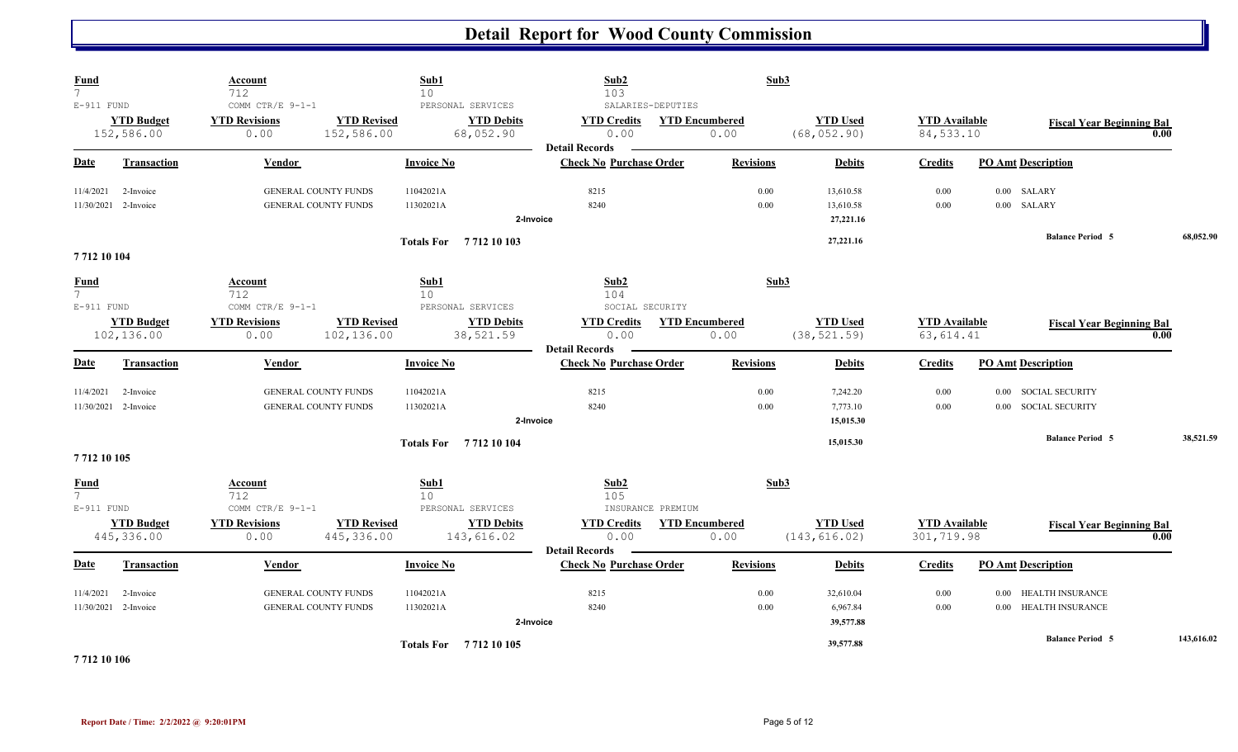| <b>Fund</b><br>$\overline{7}$                  |                                 | <b>Account</b><br>712                            |                                                            | Sub1<br>10                                          | Sub2<br>103                                             |                                            | Sub3             |                                     |                                    |                                                                          |      |            |
|------------------------------------------------|---------------------------------|--------------------------------------------------|------------------------------------------------------------|-----------------------------------------------------|---------------------------------------------------------|--------------------------------------------|------------------|-------------------------------------|------------------------------------|--------------------------------------------------------------------------|------|------------|
| $E-911$ FUND                                   | <b>YTD Budget</b><br>152,586.00 | COMM CTR/E 9-1-1<br><b>YTD Revisions</b><br>0.00 | <b>YTD Revised</b><br>152,586.00                           | PERSONAL SERVICES<br><b>YTD Debits</b><br>68,052.90 | <b>YTD Credits</b><br>0.00                              | SALARIES-DEPUTIES<br><b>YTD Encumbered</b> | 0.00             | <b>YTD Used</b><br>(68, 052.90)     | <b>YTD</b> Available<br>84,533.10  | <b>Fiscal Year Beginning Bal</b>                                         | 0.00 |            |
| Date                                           | <b>Transaction</b>              | <b>Vendor</b>                                    |                                                            | <b>Invoice No</b>                                   | <b>Detail Records</b><br><b>Check No Purchase Order</b> |                                            | <b>Revisions</b> | <b>Debits</b>                       | <b>Credits</b>                     | <b>PO Amt Description</b>                                                |      |            |
| 11/4/2021<br>11/30/2021                        | 2-Invoice<br>2-Invoice          |                                                  | <b>GENERAL COUNTY FUNDS</b><br>GENERAL COUNTY FUNDS        | 11042021A<br>11302021A                              | 8215<br>8240<br>2-Invoice                               |                                            | 0.00<br>0.00     | 13,610.58<br>13,610.58<br>27,221.16 | 0.00<br>0.00                       | $0.00$ SALARY<br>0.00 SALARY                                             |      |            |
| 7712 10 104                                    |                                 |                                                  |                                                            | Totals For 7712 10 103                              |                                                         |                                            |                  | 27,221.16                           |                                    | <b>Balance Period 5</b>                                                  |      | 68,052.90  |
| <b>Fund</b><br>$7\overline{ }$<br>$E-911$ FUND |                                 | Account<br>712<br>COMM CTR/E 9-1-1               |                                                            | Sub1<br>10<br>PERSONAL SERVICES                     | Sub2<br>104<br>SOCIAL SECURITY                          |                                            | Sub3             |                                     |                                    |                                                                          |      |            |
|                                                | <b>YTD Budget</b><br>102,136.00 | <b>YTD Revisions</b><br>0.00                     | <b>YTD Revised</b><br>102,136.00                           | <b>YTD Debits</b><br>38,521.59                      | <b>YTD Credits</b><br>0.00<br><b>Detail Records</b>     | <b>YTD Encumbered</b>                      | 0.00             | <b>YTD Used</b><br>(38, 521.59)     | <b>YTD Available</b><br>63, 614.41 | <b>Fiscal Year Beginning Bal</b>                                         | 0.00 |            |
| Date                                           | Transaction                     | Vendor                                           |                                                            | <b>Invoice No</b>                                   | <b>Check No Purchase Order</b>                          |                                            | <b>Revisions</b> | <b>Debits</b>                       | <b>Credits</b>                     | <b>PO Amt Description</b>                                                |      |            |
| 11/4/2021<br>11/30/2021                        | 2-Invoice<br>2-Invoice          |                                                  | GENERAL COUNTY FUNDS<br><b>GENERAL COUNTY FUNDS</b>        | 11042021A<br>11302021A                              | 8215<br>8240<br>2-Invoice                               |                                            | 0.00<br>0.00     | 7,242.20<br>7,773.10<br>15,015.30   | 0.00<br>0.00                       | <b>SOCIAL SECURITY</b><br>$0.00\,$<br><b>SOCIAL SECURITY</b><br>$0.00\,$ |      |            |
| 7712 10 105                                    |                                 |                                                  |                                                            | <b>Totals For</b> 7712 10 104                       |                                                         |                                            |                  | 15,015.30                           |                                    | <b>Balance Period 5</b>                                                  |      | 38,521.59  |
| <b>Fund</b><br>7 <sup>7</sup><br>$E-911$ FUND  |                                 | <b>Account</b><br>712<br>COMM CTR/E 9-1-1        |                                                            | Sub1<br>10<br>PERSONAL SERVICES                     | Sub2<br>105                                             | INSURANCE PREMIUM                          | Sub3             |                                     |                                    |                                                                          |      |            |
|                                                | <b>YTD Budget</b><br>445,336.00 | <b>YTD Revisions</b><br>0.00                     | <b>YTD Revised</b><br>445,336.00                           | <b>YTD Debits</b><br>143,616.02                     | <b>YTD Credits</b><br>0.00<br><b>Detail Records</b>     | <b>YTD Encumbered</b>                      | 0.00             | <b>YTD Used</b><br>(143, 616.02)    | <b>YTD Available</b><br>301,719.98 | <b>Fiscal Year Beginning Bal</b>                                         | 0.00 |            |
| <b>Date</b>                                    | Transaction                     | Vendor                                           |                                                            | <b>Invoice No</b>                                   | <b>Check No Purchase Order</b>                          |                                            | <b>Revisions</b> | <b>Debits</b>                       | <b>Credits</b>                     | <b>PO Amt Description</b>                                                |      |            |
| 11/4/2021<br>11/30/2021                        | 2-Invoice<br>2-Invoice          |                                                  | <b>GENERAL COUNTY FUNDS</b><br><b>GENERAL COUNTY FUNDS</b> | 11042021A<br>11302021A                              | 8215<br>8240<br>2-Invoice                               |                                            | 0.00<br>0.00     | 32,610.04<br>6,967.84<br>39,577.88  | 0.00<br>0.00                       | HEALTH INSURANCE<br>$0.00\,$<br><b>HEALTH INSURANCE</b><br>$0.00\,$      |      |            |
| _________                                      |                                 |                                                  |                                                            | <b>Totals For</b> 7712 10 105                       |                                                         |                                            |                  | 39,577.88                           |                                    | <b>Balance Period 5</b>                                                  |      | 143,616.02 |

**7 712 10 106**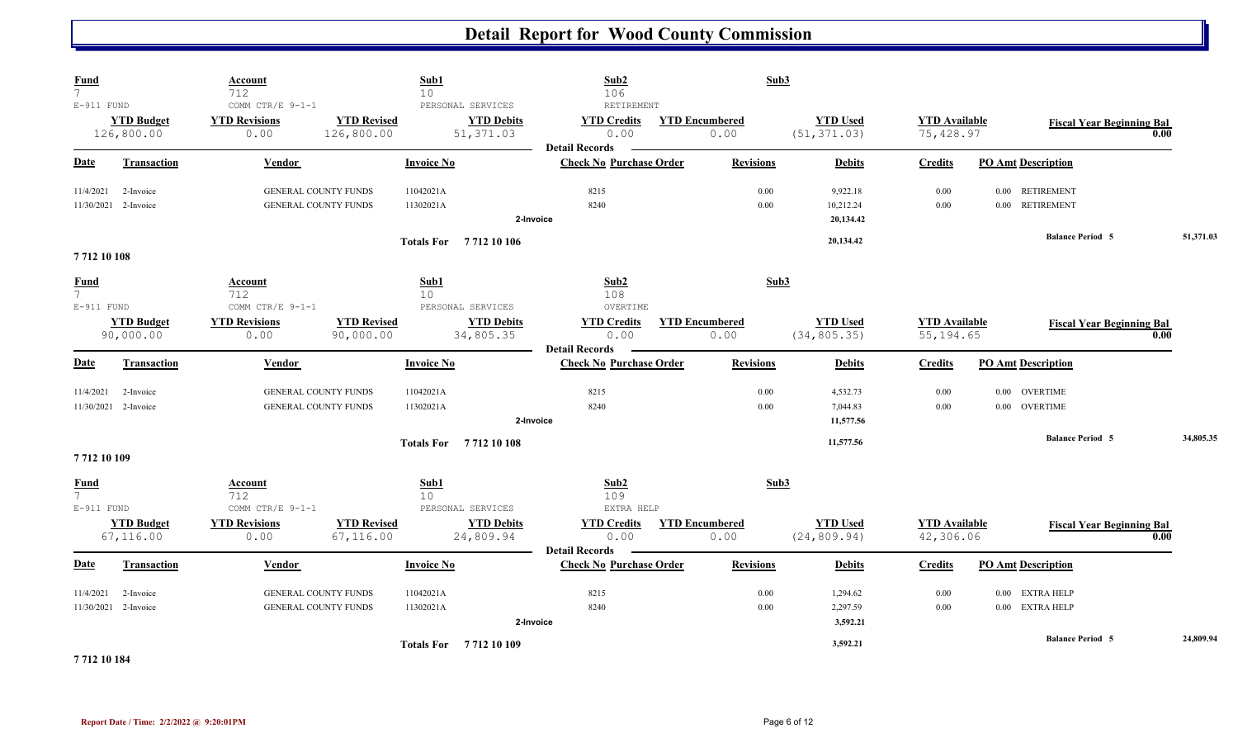| <b>Fund</b><br>$\overline{7}$                 |                                   | Account<br>712                                             | Sub1<br>10                       |                                                     | Sub2<br>106                                                       |                       | Sub3             |                                    |                                    |                                              |                                          |           |
|-----------------------------------------------|-----------------------------------|------------------------------------------------------------|----------------------------------|-----------------------------------------------------|-------------------------------------------------------------------|-----------------------|------------------|------------------------------------|------------------------------------|----------------------------------------------|------------------------------------------|-----------|
| $E-911$ FUND                                  | <b>YTD Budget</b><br>126,800.00   | COMM CTR/E 9-1-1<br><b>YTD Revisions</b><br>0.00           | <b>YTD Revised</b><br>126,800.00 | PERSONAL SERVICES<br><b>YTD Debits</b><br>51,371.03 | RETIREMENT<br><b>YTD Credits</b><br>0.00<br><b>Detail Records</b> | <b>YTD Encumbered</b> | 0.00             | <b>YTD Used</b><br>(51, 371.03)    | <b>YTD</b> Available<br>75,428.97  |                                              | <b>Fiscal Year Beginning Bal</b><br>0.00 |           |
| Date                                          | <b>Transaction</b>                | Vendor                                                     | <b>Invoice No</b>                |                                                     | <b>Check No Purchase Order</b>                                    |                       | <b>Revisions</b> | <b>Debits</b>                      | <b>Credits</b>                     | <b>PO Amt Description</b>                    |                                          |           |
| 11/4/2021                                     | 2-Invoice<br>11/30/2021 2-Invoice | GENERAL COUNTY FUNDS<br><b>GENERAL COUNTY FUNDS</b>        | 11042021A<br>11302021A           |                                                     | 8215<br>8240<br>2-Invoice                                         |                       | 0.00<br>0.00     | 9,922.18<br>10,212.24<br>20,134.42 | 0.00<br>0.00                       | 0.00 RETIREMENT<br>0.00 RETIREMENT           |                                          |           |
| 771210108                                     |                                   |                                                            |                                  | Totals For 7712 10 106                              |                                                                   |                       |                  | 20,134.42                          |                                    | <b>Balance Period 5</b>                      |                                          | 51,371.03 |
| <b>Fund</b><br>$\overline{7}$<br>$E-911$ FUND |                                   | Account<br>712<br>COMM CTR/E 9-1-1                         | Sub1<br>10 <sup>°</sup>          | PERSONAL SERVICES                                   | Sub2<br>108<br>OVERTIME                                           |                       | Sub3             |                                    |                                    |                                              |                                          |           |
|                                               | <b>YTD Budget</b><br>90,000.00    | <b>YTD Revisions</b><br>0.00                               | <b>YTD Revised</b><br>90,000.00  | <b>YTD Debits</b><br>34,805.35                      | <b>YTD Credits</b><br>0.00<br><b>Detail Records</b>               | <b>YTD Encumbered</b> | 0.00             | <b>YTD Used</b><br>(34, 805.35)    | <b>YTD Available</b><br>55, 194.65 |                                              | <b>Fiscal Year Beginning Bal</b><br>0.00 |           |
| Date                                          | <b>Transaction</b>                | Vendor                                                     | <b>Invoice No</b>                |                                                     | <b>Check No Purchase Order</b>                                    |                       | <b>Revisions</b> | <b>Debits</b>                      | <b>Credits</b>                     | <b>PO Amt Description</b>                    |                                          |           |
| 11/4/2021<br>11/30/2021                       | 2-Invoice<br>2-Invoice            | GENERAL COUNTY FUNDS<br>GENERAL COUNTY FUNDS               | 11042021A<br>11302021A           |                                                     | 8215<br>8240<br>2-Invoice                                         |                       | 0.00<br>0.00     | 4,532.73<br>7,044.83<br>11,577.56  | 0.00<br>0.00                       | <b>OVERTIME</b><br>$0.00\,$<br>0.00 OVERTIME |                                          |           |
| 7712 10 109                                   |                                   |                                                            |                                  | Totals For 7712 10 108                              |                                                                   |                       |                  | 11,577.56                          |                                    | <b>Balance Period 5</b>                      |                                          | 34,805.35 |
| <b>Fund</b><br>7 <sup>1</sup><br>$E-911$ FUND |                                   | Account<br>712<br>COMM CTR/E $9-1-1$                       | Sub1<br>10 <sup>°</sup>          | PERSONAL SERVICES                                   | Sub2<br>109<br>EXTRA HELP                                         |                       | Sub3             |                                    |                                    |                                              |                                          |           |
|                                               | <b>YTD Budget</b><br>67,116.00    | <b>YTD Revisions</b><br>0.00                               | <b>YTD Revised</b><br>67,116.00  | <b>YTD Debits</b><br>24,809.94                      | <b>YTD Credits</b><br>0.00                                        | <b>YTD Encumbered</b> | 0.00             | <b>YTD Used</b><br>(24, 809.94)    | <b>YTD</b> Available<br>42,306.06  |                                              | <b>Fiscal Year Beginning Bal</b><br>0.00 |           |
| <b>Date</b>                                   | <b>Transaction</b>                | <b>Vendor</b>                                              | <b>Invoice No</b>                |                                                     | <b>Detail Records</b><br><b>Check No Purchase Order</b>           |                       | <b>Revisions</b> | <b>Debits</b>                      | <b>Credits</b>                     | <b>PO Amt Description</b>                    |                                          |           |
| 11/4/2021<br>11/30/2021                       | 2-Invoice<br>2-Invoice            | <b>GENERAL COUNTY FUNDS</b><br><b>GENERAL COUNTY FUNDS</b> | 11042021A<br>11302021A           |                                                     | 8215<br>8240<br>2-Invoice                                         |                       | 0.00<br>0.00     | 1,294.62<br>2,297.59<br>3,592.21   | 0.00<br>0.00                       | EXTRA HELP<br>$0.00\,$<br>0.00 EXTRA HELP    |                                          |           |
|                                               |                                   |                                                            |                                  | Totals For 7712 10 109                              |                                                                   |                       |                  | 3,592.21                           |                                    | <b>Balance Period 5</b>                      |                                          | 24,809.94 |

**7 712 10 184**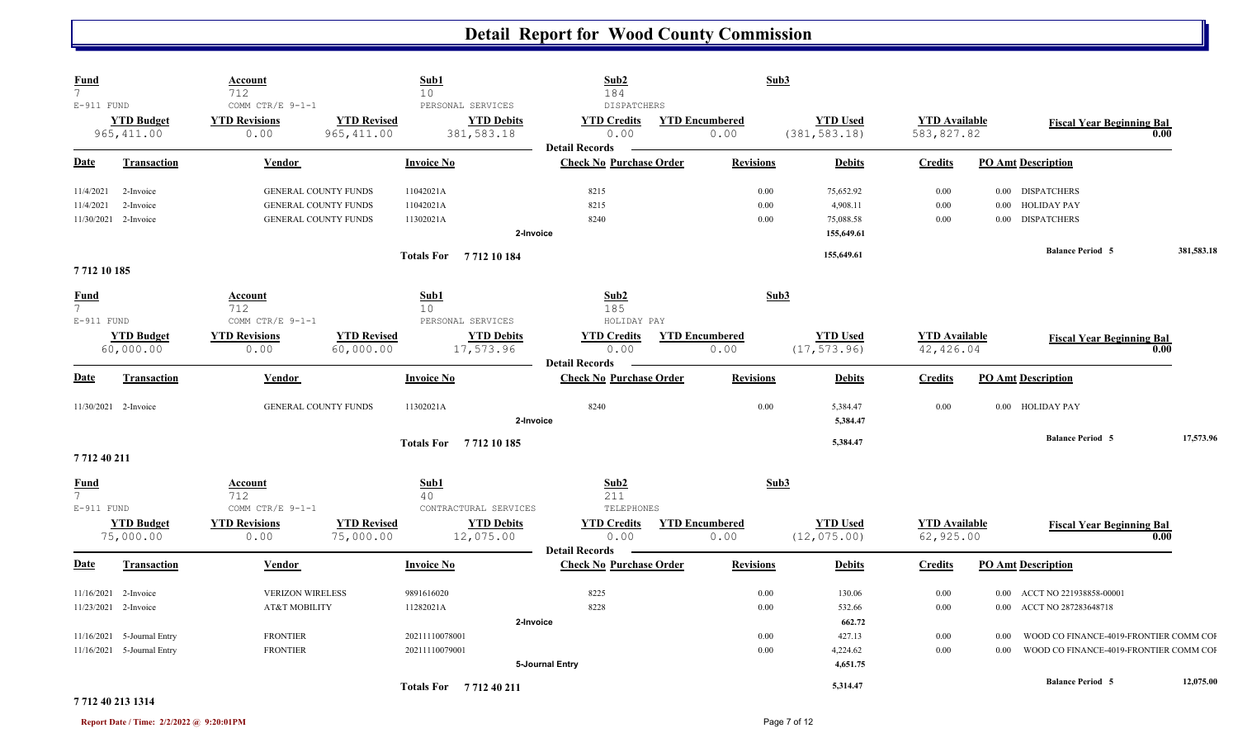| <b>Fund</b><br>$\overline{7}$ |                            | <b>Account</b><br>712       |                    | Sub1<br>10 <sup>°</sup>       |                 | Sub2<br>184                                             |                       | Sub3            |                      |          |                                        |            |
|-------------------------------|----------------------------|-----------------------------|--------------------|-------------------------------|-----------------|---------------------------------------------------------|-----------------------|-----------------|----------------------|----------|----------------------------------------|------------|
| E-911 FUND                    |                            | COMM CTR/E 9-1-1            |                    | PERSONAL SERVICES             |                 | <b>DISPATCHERS</b>                                      |                       |                 |                      |          |                                        |            |
|                               | <b>YTD Budget</b>          | <b>YTD Revisions</b>        | <b>YTD Revised</b> | <b>YTD Debits</b>             |                 | <b>YTD Credits</b>                                      | <b>YTD Encumbered</b> | <b>YTD Used</b> | <b>YTD</b> Available |          | <b>Fiscal Year Beginning Bal</b>       |            |
|                               | 965, 411.00                | 0.00                        | 965, 411.00        | 381,583.18                    |                 | 0.00                                                    | 0.00                  | (381, 583.18)   | 583,827.82           |          |                                        | 0.00       |
|                               |                            |                             |                    |                               |                 | <b>Detail Records</b>                                   |                       |                 |                      |          |                                        |            |
| Date                          | <b>Transaction</b>         | Vendor                      |                    | <b>Invoice No</b>             |                 | <b>Check No Purchase Order</b>                          | <b>Revisions</b>      | <b>Debits</b>   | <b>Credits</b>       |          | <b>PO Amt Description</b>              |            |
| 11/4/2021                     | 2-Invoice                  | GENERAL COUNTY FUNDS        |                    | 11042021A                     |                 | 8215                                                    | 0.00                  | 75,652.92       | 0.00                 |          | 0.00 DISPATCHERS                       |            |
| 11/4/2021                     | 2-Invoice                  | GENERAL COUNTY FUNDS        |                    | 11042021A                     |                 | 8215                                                    | 0.00                  | 4,908.11        | 0.00                 | $0.00\,$ | <b>HOLIDAY PAY</b>                     |            |
| 11/30/2021                    | 2-Invoice                  | GENERAL COUNTY FUNDS        |                    | 11302021A                     |                 | 8240                                                    | 0.00                  | 75,088.58       | 0.00                 | $0.00\,$ | <b>DISPATCHERS</b>                     |            |
|                               |                            |                             |                    |                               | 2-Invoice       |                                                         |                       | 155,649.61      |                      |          |                                        |            |
|                               |                            |                             |                    | <b>Totals For</b> 7712 10 184 |                 |                                                         |                       | 155,649.61      |                      |          | <b>Balance Period 5</b>                | 381,583.18 |
| 7712 10 185                   |                            |                             |                    |                               |                 |                                                         |                       |                 |                      |          |                                        |            |
| <b>Fund</b><br>7 <sup>7</sup> |                            | Account<br>712              |                    | Sub1<br>10 <sup>°</sup>       |                 | Sub2<br>185                                             |                       | Sub3            |                      |          |                                        |            |
| $E-911$ FUND                  |                            | COMM CTR/E 9-1-1            |                    | PERSONAL SERVICES             |                 | HOLIDAY PAY                                             |                       |                 |                      |          |                                        |            |
|                               | <b>YTD Budget</b>          | <b>YTD Revisions</b>        | <b>YTD Revised</b> | <b>YTD Debits</b>             |                 | <b>YTD Credits</b>                                      | <b>YTD Encumbered</b> | <b>YTD Used</b> | <b>YTD</b> Available |          | <b>Fiscal Year Beginning Bal</b>       |            |
|                               | 60,000.00                  | 0.00                        | 60,000.00          | 17,573.96                     |                 | 0.00                                                    | 0.00                  | (17, 573.96)    | 42, 426.04           |          |                                        | 0.00       |
| <b>Date</b>                   | <b>Transaction</b>         | Vendor                      |                    | <b>Invoice No</b>             |                 | <b>Detail Records</b><br><b>Check No Purchase Order</b> | <b>Revisions</b>      | <b>Debits</b>   | <b>Credits</b>       |          | <b>PO Amt Description</b>              |            |
|                               |                            |                             |                    |                               |                 |                                                         |                       |                 |                      |          |                                        |            |
| 11/30/2021 2-Invoice          |                            | <b>GENERAL COUNTY FUNDS</b> |                    | 11302021A                     |                 | 8240                                                    | 0.00                  | 5,384.47        | 0.00                 |          | 0.00 HOLIDAY PAY                       |            |
|                               |                            |                             |                    |                               | 2-Invoice       |                                                         |                       | 5,384.47        |                      |          |                                        |            |
|                               |                            |                             |                    | <b>Totals For</b> 7712 10 185 |                 |                                                         |                       | 5,384.47        |                      |          | <b>Balance Period 5</b>                | 17,573.96  |
| 7712 40 211                   |                            |                             |                    |                               |                 |                                                         |                       |                 |                      |          |                                        |            |
| <b>Fund</b>                   |                            | Account                     |                    | Sub1                          |                 | Sub2                                                    |                       | Sub3            |                      |          |                                        |            |
| 7 <sup>7</sup>                |                            | 712                         |                    | 40                            |                 | 211                                                     |                       |                 |                      |          |                                        |            |
| $E-911$ FUND                  |                            | COMM CTR/E 9-1-1            |                    | CONTRACTURAL SERVICES         |                 | TELEPHONES                                              |                       |                 |                      |          |                                        |            |
|                               | <b>YTD Budget</b>          | <b>YTD Revisions</b>        | <b>YTD Revised</b> | <b>YTD Debits</b>             |                 | <b>YTD</b> Credits                                      | <b>YTD Encumbered</b> | <b>YTD Used</b> | <b>YTD Available</b> |          | <b>Fiscal Year Beginning Bal</b>       |            |
|                               | 75,000.00                  | 0.00                        | 75,000.00          | 12,075.00                     |                 | 0.00                                                    | 0.00                  | (12, 075.00)    | 62,925.00            |          |                                        | 0.00       |
|                               |                            |                             |                    |                               |                 | <b>Detail Records</b>                                   |                       |                 |                      |          |                                        |            |
| Date                          | <b>Transaction</b>         | Vendor                      |                    | <b>Invoice No</b>             |                 | <b>Check No Purchase Order</b>                          | <b>Revisions</b>      | <b>Debits</b>   | <b>Credits</b>       |          | <b>PO Amt Description</b>              |            |
| 11/16/2021                    | 2-Invoice                  | <b>VERIZON WIRELESS</b>     |                    | 9891616020                    |                 | 8225                                                    | 0.00                  | 130.06          | 0.00                 |          | 0.00 ACCT NO 221938858-00001           |            |
| 11/23/2021                    | 2-Invoice                  | AT&T MOBILITY               |                    | 11282021A                     |                 | 8228                                                    | 0.00                  | 532.66          | 0.00                 | $0.00\,$ | ACCT NO 287283648718                   |            |
|                               |                            |                             |                    |                               | 2-Invoice       |                                                         |                       | 662.72          |                      |          |                                        |            |
| 11/16/2021                    | 5-Journal Entry            | <b>FRONTIER</b>             |                    | 20211110078001                |                 |                                                         | 0.00                  | 427.13          | 0.00                 | 0.00     | WOOD CO FINANCE-4019-FRONTIER COMM COF |            |
|                               | 11/16/2021 5-Journal Entry | <b>FRONTIER</b>             |                    | 20211110079001                |                 |                                                         | 0.00                  | 4,224.62        | 0.00                 | 0.00     | WOOD CO FINANCE-4019-FRONTIER COMM COI |            |
|                               |                            |                             |                    |                               | 5-Journal Entry |                                                         |                       | 4,651.75        |                      |          |                                        |            |
|                               |                            |                             |                    |                               |                 |                                                         |                       | 5,314.47        |                      |          | <b>Balance Period 5</b>                | 12,075.00  |
|                               | .                          |                             |                    | <b>Totals For</b> 771240211   |                 |                                                         |                       |                 |                      |          |                                        |            |

#### **7 712 40 213 1314**

**Report Date / Time: 2/2/2022 @ 9:20:01PM** Page 7 of 12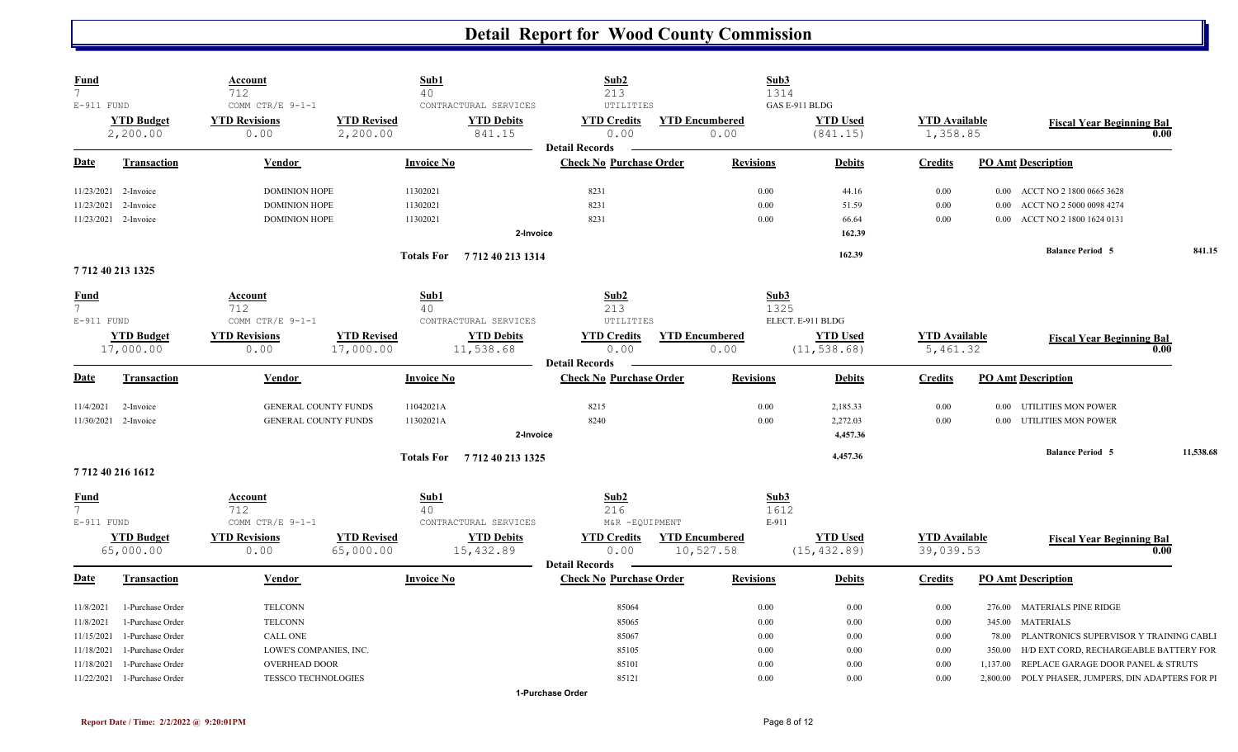| <b>Fund</b><br>$7\overline{ }$ |                      | <b>Account</b><br>712       |                    | Sub1<br>40        |                            | Sub2<br>213                                             |                       |                  | Sub3<br>1314   |                   |                      |          |                                                    |           |
|--------------------------------|----------------------|-----------------------------|--------------------|-------------------|----------------------------|---------------------------------------------------------|-----------------------|------------------|----------------|-------------------|----------------------|----------|----------------------------------------------------|-----------|
| E-911 FUND                     |                      | COMM CTR/E 9-1-1            |                    |                   | CONTRACTURAL SERVICES      | UTILITIES                                               |                       |                  | GAS E-911 BLDG |                   |                      |          |                                                    |           |
|                                | <b>YTD Budget</b>    | <b>YTD Revisions</b>        | <b>YTD Revised</b> |                   | <b>YTD Debits</b>          | <b>YTD Credits</b>                                      | <b>YTD Encumbered</b> |                  |                | <b>YTD Used</b>   | <b>YTD Available</b> |          | <b>Fiscal Year Beginning Bal</b>                   |           |
|                                | 2,200.00             | 0.00                        | 2,200.00           |                   | 841.15                     | 0.00                                                    |                       | 0.00             |                | (841.15)          | 1,358.85             |          | 0.00                                               |           |
| Date                           | <b>Transaction</b>   | Vendor                      |                    | <b>Invoice No</b> |                            | <b>Detail Records</b><br><b>Check No Purchase Order</b> |                       | <b>Revisions</b> |                | <b>Debits</b>     | <b>Credits</b>       |          | <b>PO Amt Description</b>                          |           |
|                                | 11/23/2021 2-Invoice | <b>DOMINION HOPE</b>        |                    | 11302021          |                            | 8231                                                    |                       | 0.00             |                | 44.16             | 0.00                 |          | 0.00 ACCT NO 2 1800 0665 3628                      |           |
| 11/23/2021                     | 2-Invoice            | <b>DOMINION HOPE</b>        |                    | 11302021          |                            | 8231                                                    |                       | 0.00             |                | 51.59             | 0.00                 | 0.00     | ACCT NO 2 5000 0098 4274                           |           |
|                                | 11/23/2021 2-Invoice | <b>DOMINION HOPE</b>        |                    | 11302021          |                            | 8231                                                    |                       | $0.00\,$         |                | 66.64             | 0.00                 | $0.00\,$ | ACCT NO 2 1800 1624 0131                           |           |
|                                |                      |                             |                    |                   | 2-Invoice                  |                                                         |                       |                  |                | 162.39            |                      |          |                                                    |           |
|                                | 7 712 40 213 1325    |                             |                    |                   | Totals For 771240 213 1314 |                                                         |                       |                  |                | 162.39            |                      |          | <b>Balance Period 5</b>                            | 841.15    |
| Fund<br>$7\overline{ }$        |                      | Account<br>712              |                    | Sub1<br>40        |                            | Sub2<br>213                                             |                       |                  | Sub3<br>1325   |                   |                      |          |                                                    |           |
| E-911 FUND                     |                      | COMM CTR/E 9-1-1            |                    |                   | CONTRACTURAL SERVICES      | UTILITIES                                               |                       |                  |                | ELECT. E-911 BLDG |                      |          |                                                    |           |
|                                | <b>YTD Budget</b>    | <b>YTD Revisions</b>        | <b>YTD Revised</b> |                   | <b>YTD Debits</b>          | <b>YTD Credits</b>                                      | <b>YTD Encumbered</b> |                  |                | <b>YTD Used</b>   | <b>YTD</b> Available |          |                                                    |           |
|                                | 17,000.00            | 0.00                        | 17,000.00          |                   | 11,538.68                  | 0.00                                                    |                       | 0.00             |                | (11, 538.68)      | 5,461.32             |          | <b>Fiscal Year Beginning Bal</b><br>0.00           |           |
|                                |                      |                             |                    |                   |                            | <b>Detail Records</b>                                   |                       |                  |                |                   |                      |          |                                                    |           |
| Date                           | <b>Transaction</b>   | Vendor                      |                    | <b>Invoice No</b> |                            | <b>Check No Purchase Order</b>                          |                       | <b>Revisions</b> |                | <b>Debits</b>     | <b>Credits</b>       |          | <b>PO Amt Description</b>                          |           |
| 11/4/2021                      | 2-Invoice            | GENERAL COUNTY FUNDS        |                    | 11042021A         |                            | 8215                                                    |                       | 0.00             |                | 2,185.33          | 0.00                 |          | 0.00 UTILITIES MON POWER                           |           |
|                                | 11/30/2021 2-Invoice | <b>GENERAL COUNTY FUNDS</b> |                    | 11302021A         |                            | 8240                                                    |                       | 0.00             |                | 2,272.03          | 0.00                 |          | 0.00 UTILITIES MON POWER                           |           |
|                                |                      |                             |                    |                   | 2-Invoice                  |                                                         |                       |                  |                | 4,457.36          |                      |          |                                                    |           |
|                                |                      |                             |                    |                   | Totals For 7712402131325   |                                                         |                       |                  |                | 4,457.36          |                      |          | <b>Balance Period 5</b>                            | 11,538.68 |
|                                | 7712 40 216 1612     |                             |                    |                   |                            |                                                         |                       |                  |                |                   |                      |          |                                                    |           |
| <b>Fund</b><br>$7^{\circ}$     |                      | Account<br>712              |                    | Sub1<br>40        |                            | Sub2<br>216                                             |                       |                  | Sub3<br>1612   |                   |                      |          |                                                    |           |
| E-911 FUND                     |                      | COMM CTR/E 9-1-1            |                    |                   | CONTRACTURAL SERVICES      | M&R -EQUIPMENT                                          |                       |                  | E-911          |                   |                      |          |                                                    |           |
|                                | <b>YTD Budget</b>    | <b>YTD Revisions</b>        | <b>YTD Revised</b> |                   | <b>YTD Debits</b>          | <b>YTD Credits</b>                                      | <b>YTD Encumbered</b> |                  |                | <b>YTD Used</b>   | <b>YTD</b> Available |          | <b>Fiscal Year Beginning Bal</b>                   |           |
|                                | 65,000.00            | 0.00                        | 65,000.00          |                   | 15,432.89                  | 0.00<br><b>Detail Records</b>                           | 10,527.58             |                  |                | (15, 432.89)      | 39,039.53            |          | 0.00                                               |           |
| Date                           | <b>Transaction</b>   | Vendor                      |                    | <b>Invoice No</b> |                            | <b>Check No Purchase Order</b>                          |                       | <b>Revisions</b> |                | <b>Debits</b>     | <b>Credits</b>       |          | <b>PO Amt Description</b>                          |           |
| 11/8/2021                      | 1-Purchase Order     | <b>TELCONN</b>              |                    |                   |                            | 85064                                                   |                       | 0.00             |                | 0.00              | 0.00                 |          | 276.00 MATERIALS PINE RIDGE                        |           |
| 11/8/2021                      | 1-Purchase Order     | <b>TELCONN</b>              |                    |                   |                            | 85065                                                   |                       | 0.00             |                | 0.00              | 0.00                 |          | 345.00 MATERIALS                                   |           |
| 11/15/2021                     | 1-Purchase Order     | CALL ONE                    |                    |                   |                            | 85067                                                   |                       | 0.00             |                | 0.00              | 0.00                 |          | 78.00 PLANTRONICS SUPERVISOR Y TRAINING CABLI      |           |
| 11/18/2021                     | 1-Purchase Order     | LOWE'S COMPANIES, INC.      |                    |                   |                            | 85105                                                   |                       | 0.00             |                | 0.00              | 0.00                 | 350.00   | H/D EXT CORD, RECHARGEABLE BATTERY FOR             |           |
| 11/18/2021                     | 1-Purchase Order     | <b>OVERHEAD DOOR</b>        |                    |                   |                            | 85101                                                   |                       | 0.00             |                | 0.00              | 0.00                 | 1,137.00 | REPLACE GARAGE DOOR PANEL & STRUTS                 |           |
| 11/22/2021                     | 1-Purchase Order     | TESSCO TECHNOLOGIES         |                    |                   |                            | 85121                                                   |                       | 0.00             |                | 0.00              | 0.00                 |          | 2,800.00 POLY PHASER, JUMPERS, DIN ADAPTERS FOR PI |           |
|                                |                      |                             |                    |                   |                            | 1-Purchase Order                                        |                       |                  |                |                   |                      |          |                                                    |           |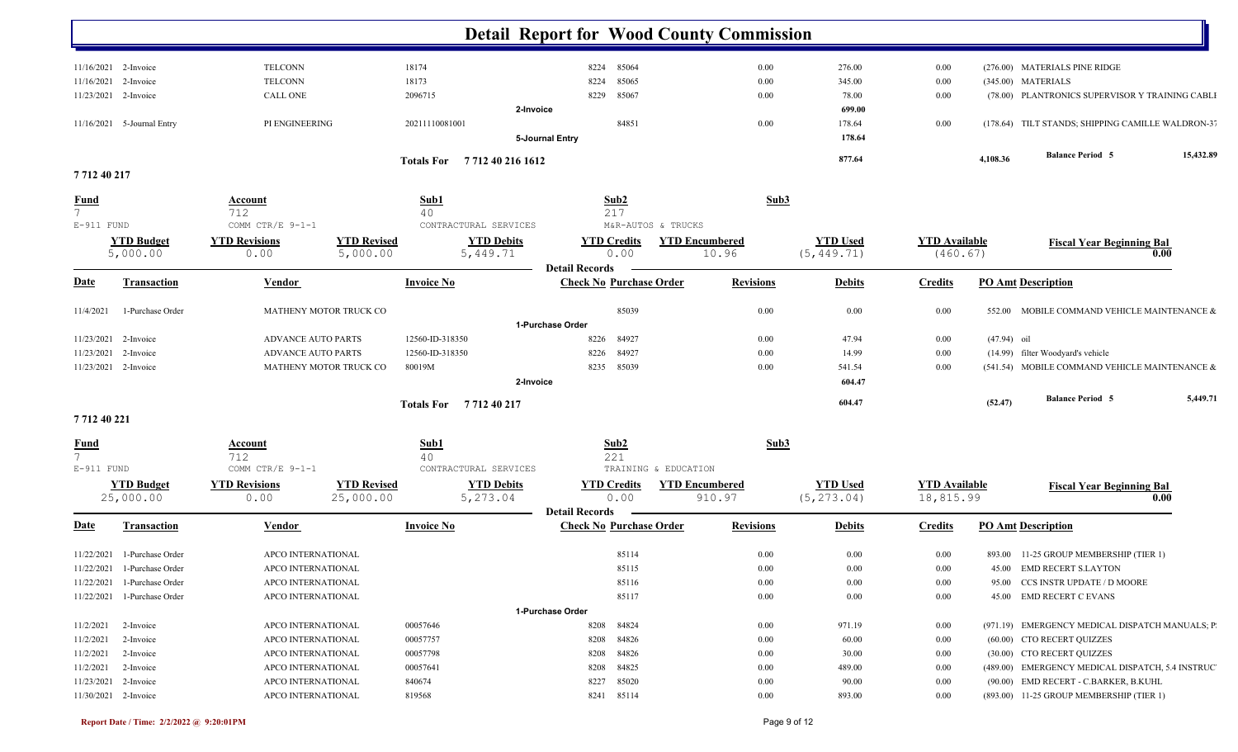|                       |                             |                                            |                            | <b>Detail Report for Wood County Commission</b>         |                  |                 |                      |               |                                                   |           |
|-----------------------|-----------------------------|--------------------------------------------|----------------------------|---------------------------------------------------------|------------------|-----------------|----------------------|---------------|---------------------------------------------------|-----------|
| 11/16/2021 2-Invoice  |                             | <b>TELCONN</b>                             | 18174                      | 85064<br>8224                                           | 0.00             | 276.00          | 0.00                 |               | (276.00) MATERIALS PINE RIDGE                     |           |
| 11/16/2021            | 2-Invoice                   | <b>TELCONN</b>                             | 18173                      | 85065<br>8224                                           | 0.00             | 345.00          | 0.00                 |               | (345.00) MATERIALS                                |           |
| 11/23/2021 2-Invoice  |                             | <b>CALL ONE</b>                            | 2096715                    | 85067<br>8229                                           | 0.00             | 78.00           | 0.00                 |               | (78.00) PLANTRONICS SUPERVISOR Y TRAINING CABLI   |           |
|                       |                             |                                            | 2-Invoice                  |                                                         |                  | 699.00          |                      |               |                                                   |           |
|                       | 11/16/2021 5-Journal Entry  | PI ENGINEERING                             | 20211110081001             | 84851                                                   | $0.00\,$         | 178.64          | 0.00                 |               | (178.64) TILT STANDS; SHIPPING CAMILLE WALDRON-37 |           |
|                       |                             |                                            |                            | 5-Journal Entry                                         |                  | 178.64          |                      |               |                                                   |           |
|                       |                             |                                            |                            |                                                         |                  | 877.64          |                      | 4,108.36      | <b>Balance Period 5</b>                           | 15,432.89 |
| 771240217             |                             |                                            | Totals For 771240 216 1612 |                                                         |                  |                 |                      |               |                                                   |           |
| <b>Fund</b>           |                             | <b>Account</b>                             | Sub1                       | Sub2                                                    | Sub3             |                 |                      |               |                                                   |           |
| $7\overline{ }$       |                             | 712                                        | 40                         | 217                                                     |                  |                 |                      |               |                                                   |           |
| $E-911$ FUND          |                             | COMM CTR/E 9-1-1                           | CONTRACTURAL SERVICES      | M&R-AUTOS & TRUCKS                                      |                  |                 |                      |               |                                                   |           |
|                       | <b>YTD Budget</b>           | <b>YTD Revisions</b><br><b>YTD Revised</b> | <b>YTD Debits</b>          | <b>YTD Encumbered</b><br><b>YTD Credits</b>             |                  | <b>YTD Used</b> | <b>YTD Available</b> |               | <b>Fiscal Year Beginning Bal</b>                  |           |
|                       | 5,000.00                    | 5,000.00<br>0.00                           | 5,449.71                   | 0.00                                                    | 10.96            | (5, 449.71)     | (460.67)             |               | 0.00                                              |           |
|                       |                             |                                            |                            | <b>Detail Records</b>                                   |                  |                 |                      |               |                                                   |           |
| <u>Date</u>           | <b>Transaction</b>          | <b>Vendor</b>                              | <b>Invoice No</b>          | <b>Check No Purchase Order</b>                          | <b>Revisions</b> | <b>Debits</b>   | <b>Credits</b>       |               | <b>PO Amt Description</b>                         |           |
| 11/4/2021             | 1-Purchase Order            | MATHENY MOTOR TRUCK CO                     |                            | 85039                                                   | 0.00             | 0.00            | 0.00                 | 552.00        | MOBILE COMMAND VEHICLE MAINTENANCE &              |           |
|                       |                             |                                            |                            | 1-Purchase Order                                        |                  |                 |                      |               |                                                   |           |
| 11/23/2021            | 2-Invoice                   | <b>ADVANCE AUTO PARTS</b>                  | 12560-ID-318350            | 84927<br>8226                                           | 0.00             | 47.94           | 0.00                 | $(47.94)$ oil |                                                   |           |
| 11/23/2021            | 2-Invoice                   | <b>ADVANCE AUTO PARTS</b>                  | 12560-ID-318350            | 84927<br>8226                                           | 0.00             | 14.99           | 0.00                 |               | (14.99) filter Woodyard's vehicle                 |           |
| 11/23/2021 2-Invoice  |                             | MATHENY MOTOR TRUCK CO                     | 80019M                     | 8235 85039                                              | 0.00             | 541.54          | 0.00                 |               | (541.54) MOBILE COMMAND VEHICLE MAINTENANCE &     |           |
|                       |                             |                                            | 2-Invoice                  |                                                         |                  | 604.47          |                      |               |                                                   |           |
|                       |                             |                                            | Totals For 771240217       |                                                         |                  | 604.47          |                      | (52.47)       | <b>Balance Period 5</b>                           | 5,449.71  |
| 771240221             |                             |                                            |                            |                                                         |                  |                 |                      |               |                                                   |           |
| <b>Fund</b>           |                             | <b>Account</b>                             | Sub1                       | Sub2                                                    | Sub3             |                 |                      |               |                                                   |           |
| $7\overline{ }$       |                             | 712                                        | 40                         | 221                                                     |                  |                 |                      |               |                                                   |           |
| $E-911$ FUND          |                             | COMM CTR/E 9-1-1                           | CONTRACTURAL SERVICES      | TRAINING & EDUCATION                                    |                  |                 |                      |               |                                                   |           |
|                       | <b>YTD Budget</b>           | <b>YTD Revised</b><br><b>YTD Revisions</b> | <b>YTD Debits</b>          | <b>YTD Credits</b><br><b>YTD Encumbered</b>             |                  | <b>YTD Used</b> | <b>YTD</b> Available |               | <b>Fiscal Year Beginning Bal</b>                  |           |
|                       | 25,000.00                   | 25,000.00<br>0.00                          | 5,273.04                   | 0.00                                                    | 910.97           | (5, 273.04)     | 18,815.99            |               | 0.00                                              |           |
| <u>Date</u>           | <b>Transaction</b>          | <b>Vendor</b>                              | <b>Invoice No</b>          | <b>Detail Records</b><br><b>Check No Purchase Order</b> | <b>Revisions</b> | <b>Debits</b>   | <b>Credits</b>       |               | <b>PO Amt Description</b>                         |           |
|                       | 11/22/2021 1-Purchase Order | APCO INTERNATIONAL                         |                            | 85114                                                   | 0.00             | 0.00            | 0.00                 |               | 893.00 11-25 GROUP MEMBERSHIP (TIER 1)            |           |
|                       | 11/22/2021 1-Purchase Order | APCO INTERNATIONAL                         |                            | 85115                                                   | $0.00\,$         | $0.00\,$        | $0.00\,$             |               | 45.00 EMD RECERT S.LAYTON                         |           |
|                       | 11/22/2021 1-Purchase Order | APCO INTERNATIONAL                         |                            | 85116                                                   | 0.00             | $0.00\,$        | $0.00\,$             |               | 95.00 CCS INSTR UPDATE / D MOORE                  |           |
|                       | 11/22/2021 1-Purchase Order | APCO INTERNATIONAL                         |                            | 85117                                                   | $0.00\,$         | $0.00\,$        | 0.00                 |               | 45.00 EMD RECERT C EVANS                          |           |
|                       |                             |                                            |                            | 1-Purchase Order                                        |                  |                 |                      |               |                                                   |           |
| $11/2/2021$ 2-Invoice |                             | APCO INTERNATIONAL                         | 00057646                   | 8208 84824                                              | $0.00\,$         | 971.19          | 0.00                 |               | (971.19) EMERGENCY MEDICAL DISPATCH MANUALS; P    |           |
| 11/2/2021             | 2-Invoice                   | APCO INTERNATIONAL                         | 00057757                   | 8208 84826                                              | $0.00\,$         | 60.00           | $0.00\,$             |               | (60.00) CTO RECERT QUIZZES                        |           |
| $11/2/2021$ 2-Invoice |                             | APCO INTERNATIONAL                         | 00057798                   | 8208 84826                                              | $0.00\,$         | 30.00           | $0.00\,$             |               | (30.00) CTO RECERT QUIZZES                        |           |
| $11/2/2021$ 2-Invoice |                             | APCO INTERNATIONAL                         | 00057641                   | 8208 84825                                              | $0.00\,$         | 489.00          | 0.00                 |               | (489.00) EMERGENCY MEDICAL DISPATCH, 5.4 INSTRUC  |           |
| 11/23/2021 2-Invoice  |                             | APCO INTERNATIONAL                         | 840674                     | 8227 85020                                              | $0.00\,$         | 90.00           | $0.00\,$             |               | (90.00) EMD RECERT - C.BARKER, B.KUHL             |           |
| 11/30/2021 2-Invoice  |                             | APCO INTERNATIONAL                         | 819568                     | 8241 85114                                              | $0.00\,$         | 893.00          | $0.00\,$             |               | (893.00) 11-25 GROUP MEMBERSHIP (TIER 1)          |           |
|                       |                             |                                            |                            |                                                         |                  |                 |                      |               |                                                   |           |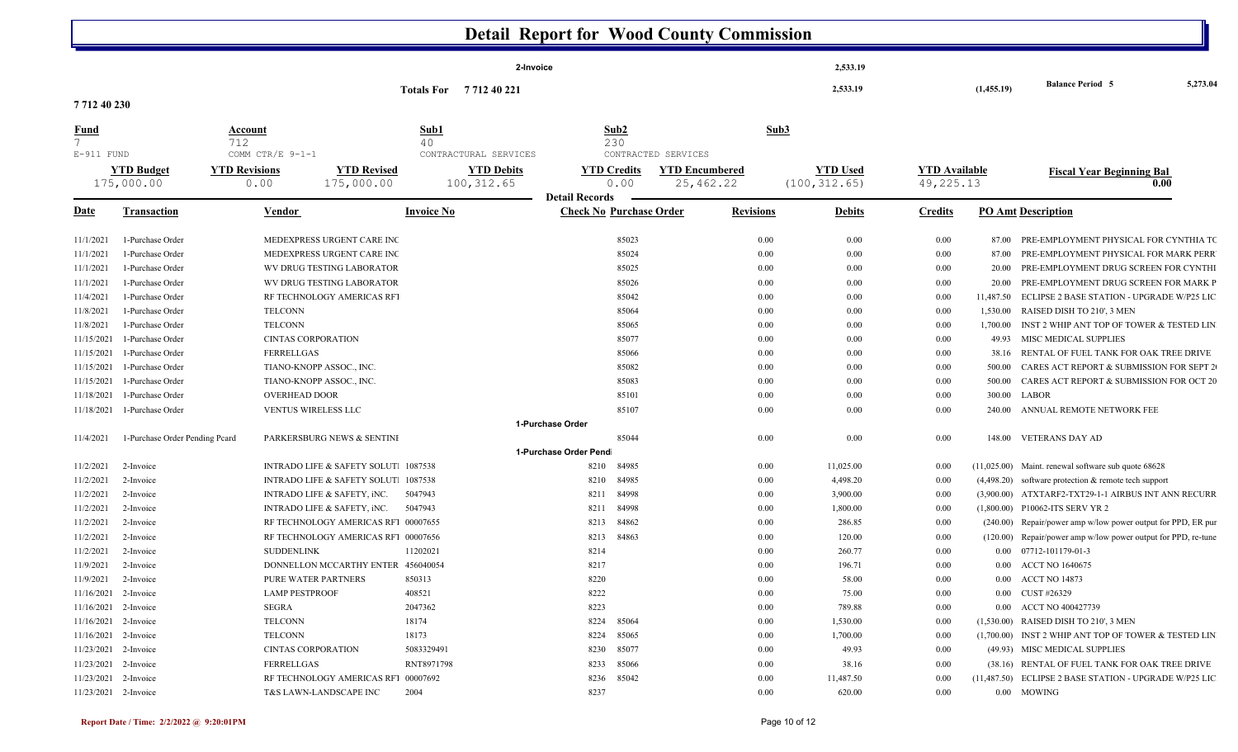|                                 |                                |                                      |                    |                             | <b>Detail Report for Wood County Commission</b> |                                |                       |                  |                 |               |                      |            |                                                               |          |
|---------------------------------|--------------------------------|--------------------------------------|--------------------|-----------------------------|-------------------------------------------------|--------------------------------|-----------------------|------------------|-----------------|---------------|----------------------|------------|---------------------------------------------------------------|----------|
|                                 |                                |                                      |                    |                             | 2-Invoice                                       |                                |                       |                  |                 | 2,533.19      |                      |            |                                                               |          |
|                                 |                                |                                      |                    | Totals For 771240221        |                                                 |                                |                       |                  |                 | 2,533.19      |                      | (1,455.19) | <b>Balance Period 5</b>                                       | 5,273.04 |
| 7712 40 230                     |                                |                                      |                    |                             |                                                 |                                |                       |                  |                 |               |                      |            |                                                               |          |
| <u>Fund</u>                     |                                | <b>Account</b>                       |                    | Sub1                        |                                                 | Sub2                           |                       | Sub3             |                 |               |                      |            |                                                               |          |
| $7\overline{ }$<br>$E-911$ FUND |                                | 712<br>COMM CTR/E 9-1-1              |                    | 40<br>CONTRACTURAL SERVICES |                                                 | 230                            | CONTRACTED SERVICES   |                  |                 |               |                      |            |                                                               |          |
|                                 | <b>YTD Budget</b>              | <b>YTD Revisions</b>                 | <b>YTD Revised</b> |                             | <b>YTD Debits</b>                               | <b>YTD Credits</b>             | <b>YTD Encumbered</b> |                  | <b>YTD Used</b> |               | <b>YTD Available</b> |            | <b>Fiscal Year Beginning Bal</b>                              |          |
|                                 | 175,000.00                     | 0.00                                 | 175,000.00         | 100, 312.65                 |                                                 | 0.00                           | 25,462.22             |                  | (100, 312.65)   |               | 49, 225. 13          |            | 0.00                                                          |          |
|                                 |                                |                                      |                    |                             | <b>Detail Records</b>                           |                                |                       |                  |                 |               |                      |            |                                                               |          |
| Date                            | <b>Transaction</b>             | <b>Vendor</b>                        |                    | <b>Invoice No</b>           |                                                 | <b>Check No Purchase Order</b> |                       | <b>Revisions</b> |                 | <b>Debits</b> | <b>Credits</b>       |            | <b>PO Amt Description</b>                                     |          |
| 11/1/2021                       | 1-Purchase Order               | MEDEXPRESS URGENT CARE INC           |                    |                             |                                                 | 85023                          |                       | 0.00             |                 | 0.00          | 0.00                 | 87.00      | PRE-EMPLOYMENT PHYSICAL FOR CYNTHIA TO                        |          |
| 11/1/2021                       | 1-Purchase Order               | MEDEXPRESS URGENT CARE INC           |                    |                             |                                                 | 85024                          |                       | 0.00             |                 | 0.00          | 0.00                 | 87.00      | PRE-EMPLOYMENT PHYSICAL FOR MARK PERR                         |          |
| 11/1/2021                       | 1-Purchase Order               | WV DRUG TESTING LABORATOR            |                    |                             |                                                 | 85025                          |                       | 0.00             |                 | 0.00          | 0.00                 | 20.00      | PRE-EMPLOYMENT DRUG SCREEN FOR CYNTHI                         |          |
| 11/1/2021                       | 1-Purchase Order               | WV DRUG TESTING LABORATOR            |                    |                             |                                                 | 85026                          |                       | 0.00             |                 | 0.00          | 0.00                 | 20.00      | PRE-EMPLOYMENT DRUG SCREEN FOR MARK P                         |          |
| 11/4/2021                       | 1-Purchase Order               | RF TECHNOLOGY AMERICAS RF1           |                    |                             |                                                 | 85042                          |                       | 0.00             |                 | 0.00          | 0.00                 | 11,487.50  | ECLIPSE 2 BASE STATION - UPGRADE W/P25 LIC                    |          |
| 11/8/2021                       | 1-Purchase Order               | <b>TELCONN</b>                       |                    |                             |                                                 | 85064                          |                       | 0.00             |                 | 0.00          | 0.00                 | 1,530.00   | RAISED DISH TO 210', 3 MEN                                    |          |
| 11/8/2021                       | 1-Purchase Order               | <b>TELCONN</b>                       |                    |                             |                                                 | 85065                          |                       | 0.00             |                 | 0.00          | 0.00                 | 1,700.00   | INST 2 WHIP ANT TOP OF TOWER & TESTED LIN                     |          |
| 11/15/2021                      | 1-Purchase Order               | <b>CINTAS CORPORATION</b>            |                    |                             |                                                 | 85077                          |                       | 0.00             |                 | 0.00          | 0.00                 | 49.93      | MISC MEDICAL SUPPLIES                                         |          |
| 11/15/2021                      | 1-Purchase Order               | FERRELLGAS                           |                    |                             |                                                 | 85066                          |                       | 0.00             |                 | 0.00          | 0.00                 | 38.16      | RENTAL OF FUEL TANK FOR OAK TREE DRIVE                        |          |
| 11/15/2021                      | 1-Purchase Order               | TIANO-KNOPP ASSOC., INC.             |                    |                             |                                                 | 85082                          |                       | 0.00             |                 | 0.00          | 0.00                 | 500.00     | CARES ACT REPORT & SUBMISSION FOR SEPT 2                      |          |
| 11/15/2021                      | 1-Purchase Order               | TIANO-KNOPP ASSOC., INC.             |                    |                             |                                                 | 85083                          |                       | 0.00             |                 | 0.00          | 0.00                 | 500.00     | CARES ACT REPORT & SUBMISSION FOR OCT 20                      |          |
| 11/18/2021                      | 1-Purchase Order               | <b>OVERHEAD DOOR</b>                 |                    |                             |                                                 | 85101                          |                       | 0.00             |                 | 0.00          | 0.00                 | 300.00     | LABOR                                                         |          |
| 11/18/2021                      | 1-Purchase Order               | VENTUS WIRELESS LLC                  |                    |                             |                                                 | 85107                          |                       | 0.00             |                 | 0.00          | 0.00                 |            | 240.00 ANNUAL REMOTE NETWORK FEE                              |          |
|                                 |                                |                                      |                    |                             | 1-Purchase Order                                |                                |                       |                  |                 |               |                      |            |                                                               |          |
| 11/4/2021                       | 1-Purchase Order Pending Pcard | PARKERSBURG NEWS & SENTINI           |                    |                             |                                                 | 85044                          |                       | 0.00             |                 | 0.00          | 0.00                 |            | 148.00 VETERANS DAY AD                                        |          |
|                                 |                                |                                      |                    |                             | 1-Purchase Order Pend                           |                                |                       |                  |                 |               |                      |            |                                                               |          |
| 11/2/2021                       | 2-Invoice                      | INTRADO LIFE & SAFETY SOLUT. 1087538 |                    |                             | 8210                                            | 84985                          |                       | 0.00             |                 | 11,025.00     | 0.00                 |            | (11,025.00) Maint. renewal software sub quote 68628           |          |
| 11/2/2021                       | 2-Invoice                      | INTRADO LIFE & SAFETY SOLUT. 1087538 |                    |                             | 8210                                            | 84985                          |                       | 0.00             |                 | 4,498.20      | 0.00                 |            | $(4,498.20)$ software protection & remote tech support        |          |
| 11/2/2021                       | 2-Invoice                      | INTRADO LIFE & SAFETY, INC.          |                    | 5047943                     | 8211                                            | 84998                          |                       | 0.00             |                 | 3,900.00      | 0.00                 |            | (3,900.00) ATXTARF2-TXT29-1-1 AIRBUS INT ANN RECURR           |          |
| 11/2/2021                       | 2-Invoice                      | INTRADO LIFE & SAFETY, INC.          |                    | 5047943                     | 8211                                            | 84998                          |                       | 0.00             |                 | 1,800.00      | 0.00                 |            | (1,800.00) P10062-ITS SERV YR 2                               |          |
| 11/2/2021                       | 2-Invoice                      | RF TECHNOLOGY AMERICAS RF1 00007655  |                    |                             | 8213                                            | 84862                          |                       | 0.00             |                 | 286.85        | 0.00                 |            | (240.00) Repair/power amp w/low power output for PPD, ER pur  |          |
| 11/2/2021                       | 2-Invoice                      | RF TECHNOLOGY AMERICAS RF1 00007656  |                    |                             | 8213                                            | 84863                          |                       | 0.00             |                 | 120.00        | 0.00                 |            | (120.00) Repair/power amp w/low power output for PPD, re-tune |          |
| 11/2/2021                       | 2-Invoice                      | <b>SUDDENLINK</b>                    |                    | 11202021                    | 8214                                            |                                |                       | 0.00             |                 | 260.77        | 0.00                 |            | $0.00$ $07712 - 101179 - 01 - 3$                              |          |
| 11/9/2021                       | 2-Invoice                      | DONNELLON MCCARTHY ENTER 456040054   |                    |                             | 8217                                            |                                |                       | 0.00             |                 | 196.71        | 0.00                 |            | 0.00 ACCT NO 1640675                                          |          |
| 11/9/2021 2-Invoice             |                                | PURE WATER PARTNERS                  |                    | 850313                      | 8220                                            |                                |                       | 0.00             |                 | 58.00         | 0.00                 |            | 0.00 ACCT NO 14873                                            |          |
| 11/16/2021 2-Invoice            |                                | <b>LAMP PESTPROOF</b>                |                    | 408521                      | 8222                                            |                                |                       | 0.00             |                 | 75.00         | 0.00                 |            | 0.00 CUST #26329                                              |          |
| 11/16/2021 2-Invoice            |                                | SEGRA                                |                    | 2047362                     | 8223                                            |                                |                       | 0.00             |                 | 789.88        | $0.00\,$             |            | 0.00 ACCT NO 400427739                                        |          |
| 11/16/2021 2-Invoice            |                                | <b>TELCONN</b>                       |                    | 18174                       |                                                 | 8224 85064                     |                       | $0.00\,$         |                 | 1,530.00      | 0.00                 |            | (1,530.00) RAISED DISH TO 210', 3 MEN                         |          |
| 11/16/2021 2-Invoice            |                                | TELCONN                              |                    | 18173                       |                                                 | 8224 85065                     |                       | 0.00             |                 | 1,700.00      | 0.00                 |            | (1,700.00) INST 2 WHIP ANT TOP OF TOWER & TESTED LIN          |          |
| 11/23/2021 2-Invoice            |                                | <b>CINTAS CORPORATION</b>            |                    | 5083329491                  |                                                 | 8230 85077                     |                       | 0.00             |                 | 49.93         | 0.00                 |            | (49.93) MISC MEDICAL SUPPLIES                                 |          |
| 11/23/2021 2-Invoice            |                                | FERRELLGAS                           |                    | RNT8971798                  |                                                 | 8233 85066                     |                       | 0.00             |                 | 38.16         | 0.00                 |            | (38.16) RENTAL OF FUEL TANK FOR OAK TREE DRIVE                |          |
| 11/23/2021 2-Invoice            |                                | RF TECHNOLOGY AMERICAS RF1 00007692  |                    |                             |                                                 | 8236 85042                     |                       | 0.00             |                 | 11,487.50     | 0.00                 |            | (11,487.50) ECLIPSE 2 BASE STATION - UPGRADE W/P25 LIC        |          |
| 11/23/2021 2-Invoice            |                                | T&S LAWN-LANDSCAPE INC               |                    | 2004                        | 8237                                            |                                |                       | 0.00             |                 | 620.00        | $0.00\,$             |            | 0.00 MOWING                                                   |          |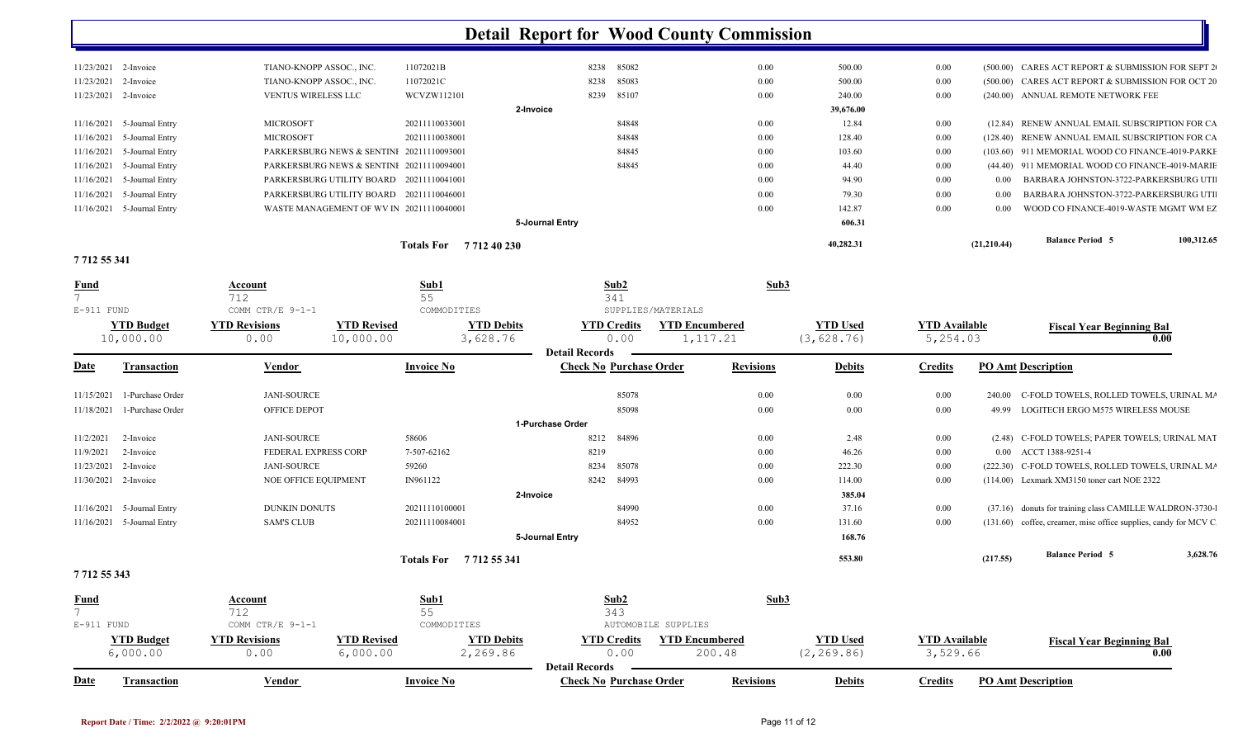| 11/23/2021 2-Invoice         | TIANO-KNOPP ASSOC., INC.                  | 11072021B                   |                 | 8238 85082 | $0.00\,$ | 500.00    | $0.00\,$ |             | (500.00) CARES ACT REPORT & SUBMISSION FOR SEPT 2 |            |
|------------------------------|-------------------------------------------|-----------------------------|-----------------|------------|----------|-----------|----------|-------------|---------------------------------------------------|------------|
| 11/23/2021 2-Invoice         | TIANO-KNOPP ASSOC., INC.                  | 11072021C                   |                 | 8238 85083 | $0.00\,$ | 500.00    | 0.00     |             | (500.00) CARES ACT REPORT & SUBMISSION FOR OCT 20 |            |
| 11/23/2021 2-Invoice         | <b>VENTUS WIRELESS LLC</b>                | WCVZW112101                 |                 | 8239 85107 | 0.00     | 240.00    | 0.00     |             | (240.00) ANNUAL REMOTE NETWORK FEE                |            |
|                              |                                           |                             | 2-Invoice       |            |          | 39,676.00 |          |             |                                                   |            |
| 11/16/2021 5-Journal Entry   | <b>MICROSOFT</b>                          | 20211110033001              |                 | 84848      | 0.00     | 12.84     | $0.00\,$ |             | (12.84) RENEW ANNUAL EMAIL SUBSCRIPTION FOR CA    |            |
| $11/16/2021$ 5-Journal Entry | <b>MICROSOFT</b>                          | 20211110038001              |                 | 84848      | 0.00     | 128.40    | $0.00\,$ |             | (128.40) RENEW ANNUAL EMAIL SUBSCRIPTION FOR CA   |            |
| 11/16/2021 5-Journal Entry   | PARKERSBURG NEWS & SENTINI 20211110093001 |                             |                 | 84845      | $0.00\,$ | 103.60    | 0.00     |             | (103.60) 911 MEMORIAL WOOD CO FINANCE-4019-PARKE  |            |
| $11/16/2021$ 5-Journal Entry | PARKERSBURG NEWS & SENTINI 20211110094001 |                             |                 | 84845      | 0.00     | 44.40     | 0.00     |             | (44.40) 911 MEMORIAL WOOD CO FINANCE-4019-MARIE   |            |
| 11/16/2021 5-Journal Entry   | PARKERSBURG UTILITY BOARD 20211110041001  |                             |                 |            | 0.00     | 94.90     | 0.00     | 0.00        | BARBARA JOHNSTON-3722-PARKERSBURG UTI             |            |
| 11/16/2021 5-Journal Entry   | PARKERSBURG UTILITY BOARD 20211110046001  |                             |                 |            | 0.00     | 79.30     | 0.00     | 0.00        | BARBARA JOHNSTON-3722-PARKERSBURG UTI             |            |
| 11/16/2021 5-Journal Entry   | WASTE MANAGEMENT OF WV IN 20211110040001  |                             |                 |            | 0.00     | 142.87    | 0.00     | 0.00        | WOOD CO FINANCE-4019-WASTE MGMT WM EZ             |            |
|                              |                                           |                             | 5-Journal Entry |            |          | 606.31    |          |             |                                                   |            |
|                              |                                           | <b>Totals For</b> 771240230 |                 |            |          | 40,282.31 |          | (21,210,44) | <b>Balance Period 5</b>                           | 100,312.65 |

**7 712 55 341** 

| <b>Fund</b>       |                                | <b>Account</b>               |                                 | Sub1                            |                       | Sub2                           | Sub3                               |                                |                                  |          |                                                                 |          |
|-------------------|--------------------------------|------------------------------|---------------------------------|---------------------------------|-----------------------|--------------------------------|------------------------------------|--------------------------------|----------------------------------|----------|-----------------------------------------------------------------|----------|
| E-911 FUND        |                                | 712<br>COMM CTR/E 9-1-1      |                                 | 55<br>COMMODITIES               |                       | 341<br>SUPPLIES/MATERIALS      |                                    |                                |                                  |          |                                                                 |          |
|                   | <b>YTD Budget</b><br>10,000.00 | <b>YTD Revisions</b><br>0.00 | <b>YTD Revised</b><br>10,000.00 | <b>YTD Debits</b><br>3,628.76   | <b>Detail Records</b> | <b>YTD Credits</b><br>0.00     | <b>YTD Encumbered</b><br>1, 117.21 | <b>YTD Used</b><br>(3, 628.76) | <b>YTD Available</b><br>5,254.03 |          | <b>Fiscal Year Beginning Bal</b>                                | 0.00     |
| <b>Date</b>       | Transaction                    | <b>Vendor</b>                |                                 | <b>Invoice No</b>               |                       | <b>Check No Purchase Order</b> | <b>Revisions</b>                   | <b>Debits</b>                  | <b>Credits</b>                   |          | <b>PO Amt Description</b>                                       |          |
| 11/15/2021        | 1-Purchase Order               | JANI-SOURCE                  |                                 |                                 |                       | 85078                          | 0.00                               | 0.00                           | 0.00                             | 240.00   | C-FOLD TOWELS, ROLLED TOWELS, URINAL MA                         |          |
| 11/18/2021        | 1-Purchase Order               | OFFICE DEPOT                 |                                 |                                 |                       | 85098                          | 0.00                               | 0.00                           | 0.00                             | 49.99    | LOGITECH ERGO M575 WIRELESS MOUSE                               |          |
|                   |                                |                              |                                 |                                 | 1-Purchase Order      |                                |                                    |                                |                                  |          |                                                                 |          |
| 11/2/2021         | 2-Invoice                      | JANI-SOURCE                  |                                 | 58606                           | 8212                  | 84896                          | 0.00                               | 2.48                           | 0.00                             |          | (2.48) C-FOLD TOWELS; PAPER TOWELS; URINAL MAT                  |          |
| 11/9/2021         | 2-Invoice                      | FEDERAL EXPRESS CORP         |                                 | 7-507-62162                     | 8219                  |                                | 0.00                               | 46.26                          | 0.00                             |          | 0.00 ACCT 1388-9251-4                                           |          |
| 11/23/2021        | 2-Invoice                      | JANI-SOURCE                  |                                 | 59260                           | 8234                  | 85078                          | 0.00                               | 222.30                         | 0.00                             | (222.30) | C-FOLD TOWELS, ROLLED TOWELS, URINAL MA                         |          |
|                   | 11/30/2021 2-Invoice           | NOE OFFICE EQUIPMENT         |                                 | IN961122                        | 8242                  | 84993                          | 0.00                               | 114.00                         | 0.00                             |          | (114.00) Lexmark XM3150 toner cart NOE 2322                     |          |
|                   |                                |                              |                                 |                                 | 2-Invoice             |                                |                                    | 385.04                         |                                  |          |                                                                 |          |
|                   | 11/16/2021 5-Journal Entry     | <b>DUNKIN DONUTS</b>         |                                 | 20211110100001                  |                       | 84990                          | 0.00                               | 37.16                          | 0.00                             | (37.16)  | donuts for training class CAMILLE WALDRON-3730-1                |          |
|                   | 11/16/2021 5-Journal Entry     | <b>SAM'S CLUB</b>            |                                 | 20211110084001                  |                       | 84952                          | 0.00                               | 131.60                         | 0.00                             |          | (131.60) coffee, creamer, misc office supplies, candy for MCV C |          |
|                   |                                |                              |                                 |                                 | 5-Journal Entry       |                                |                                    | 168.76                         |                                  |          |                                                                 |          |
|                   |                                |                              |                                 | Totals For<br>7 7 1 2 5 5 3 4 1 |                       |                                |                                    | 553.80                         |                                  | (217.55) | <b>Balance Period 5</b>                                         | 3,628.76 |
| 7 7 1 2 5 5 3 4 3 |                                |                              |                                 |                                 |                       |                                |                                    |                                |                                  |          |                                                                 |          |
|                   |                                |                              |                                 |                                 |                       |                                |                                    |                                |                                  |          |                                                                 |          |

| <b>Fund</b> |                    | <u>Account</u>                     |                    | Sub1              | Sub2                                               |                       | Sub3          |                      |                                  |
|-------------|--------------------|------------------------------------|--------------------|-------------------|----------------------------------------------------|-----------------------|---------------|----------------------|----------------------------------|
|             |                    |                                    |                    |                   | 343                                                |                       |               |                      |                                  |
| E-911 FUND  |                    | COMM CTR/E 9-1-1                   |                    | COMMODITIES       | <b>AUTOMOBILE SUPPLIES</b>                         |                       |               |                      |                                  |
|             | <b>YTD Budget</b>  | <b>YTD Revisions</b>               | <b>YTD Revised</b> | <b>YTD Debits</b> | <b>YTD Credits</b>                                 | <b>YTD Encumbered</b> | YTD Used      | <b>YTD Available</b> | <b>Fiscal Year Beginning Bal</b> |
|             | 6,000.00           | 0.00                               | 6,000.00           | 2,269.86          | 0.00                                               | 200.48                | (2, 269, 86)  | 3,529.66             | $0.00\,$                         |
|             |                    |                                    |                    |                   | <b>Detail Records</b>                              |                       |               |                      |                                  |
| <b>Date</b> | <b>Transaction</b> | <b>Invoice No</b><br><u>Vendor</u> |                    |                   | <b>Revisions</b><br><b>Check No Purchase Order</b> |                       | <b>Debits</b> | Credits              | <b>PO Amt Description</b>        |